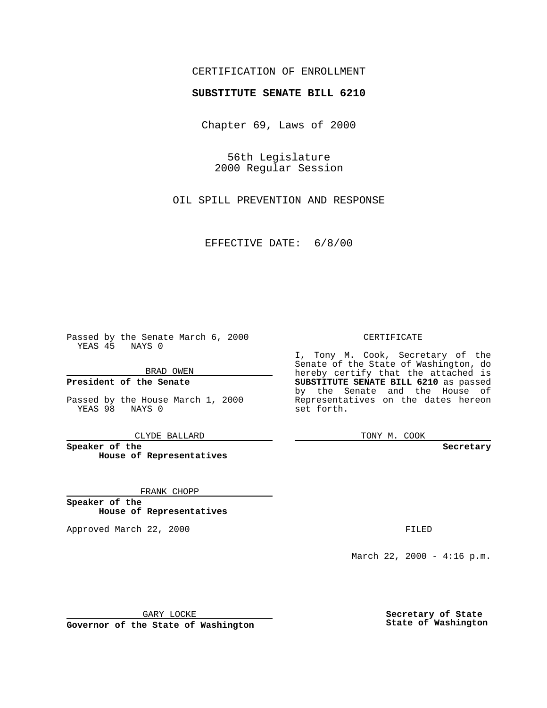## CERTIFICATION OF ENROLLMENT

# **SUBSTITUTE SENATE BILL 6210**

Chapter 69, Laws of 2000

56th Legislature 2000 Regular Session

OIL SPILL PREVENTION AND RESPONSE

EFFECTIVE DATE: 6/8/00

Passed by the Senate March 6, 2000 YEAS 45 NAYS 0

BRAD OWEN

**President of the Senate**

Passed by the House March 1, 2000 YEAS 98 NAYS 0

CLYDE BALLARD

**Speaker of the House of Representatives**

FRANK CHOPP

**Speaker of the House of Representatives**

Approved March 22, 2000 FILED

#### CERTIFICATE

I, Tony M. Cook, Secretary of the Senate of the State of Washington, do hereby certify that the attached is **SUBSTITUTE SENATE BILL 6210** as passed by the Senate and the House of Representatives on the dates hereon set forth.

TONY M. COOK

**Secretary**

March 22, 2000 - 4:16 p.m.

GARY LOCKE

**Governor of the State of Washington**

**Secretary of State State of Washington**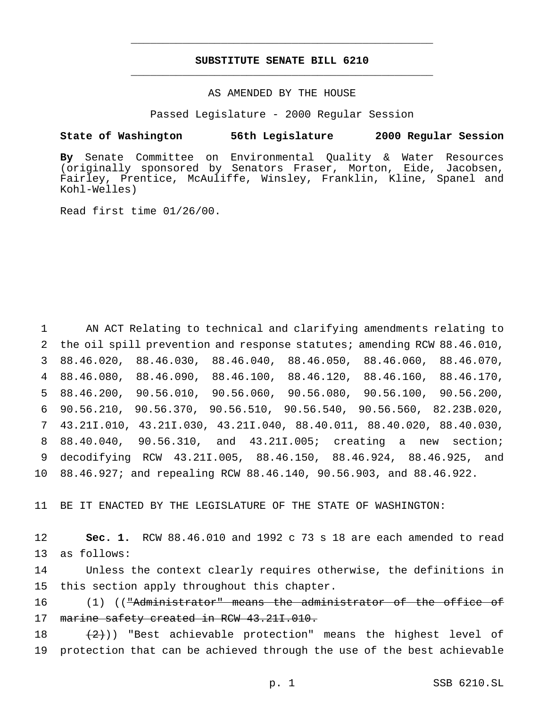## **SUBSTITUTE SENATE BILL 6210** \_\_\_\_\_\_\_\_\_\_\_\_\_\_\_\_\_\_\_\_\_\_\_\_\_\_\_\_\_\_\_\_\_\_\_\_\_\_\_\_\_\_\_\_\_\_\_

\_\_\_\_\_\_\_\_\_\_\_\_\_\_\_\_\_\_\_\_\_\_\_\_\_\_\_\_\_\_\_\_\_\_\_\_\_\_\_\_\_\_\_\_\_\_\_

### AS AMENDED BY THE HOUSE

Passed Legislature - 2000 Regular Session

#### **State of Washington 56th Legislature 2000 Regular Session**

**By** Senate Committee on Environmental Quality & Water Resources (originally sponsored by Senators Fraser, Morton, Eide, Jacobsen, Fairley, Prentice, McAuliffe, Winsley, Franklin, Kline, Spanel and Kohl-Welles)

Read first time 01/26/00.

 AN ACT Relating to technical and clarifying amendments relating to the oil spill prevention and response statutes; amending RCW 88.46.010, 88.46.020, 88.46.030, 88.46.040, 88.46.050, 88.46.060, 88.46.070, 88.46.080, 88.46.090, 88.46.100, 88.46.120, 88.46.160, 88.46.170, 88.46.200, 90.56.010, 90.56.060, 90.56.080, 90.56.100, 90.56.200, 90.56.210, 90.56.370, 90.56.510, 90.56.540, 90.56.560, 82.23B.020, 43.21I.010, 43.21I.030, 43.21I.040, 88.40.011, 88.40.020, 88.40.030, 88.40.040, 90.56.310, and 43.21I.005; creating a new section; decodifying RCW 43.21I.005, 88.46.150, 88.46.924, 88.46.925, and 88.46.927; and repealing RCW 88.46.140, 90.56.903, and 88.46.922.

11 BE IT ENACTED BY THE LEGISLATURE OF THE STATE OF WASHINGTON:

12 **Sec. 1.** RCW 88.46.010 and 1992 c 73 s 18 are each amended to read 13 as follows:

14 Unless the context clearly requires otherwise, the definitions in 15 this section apply throughout this chapter.

16 (1) (("Administrator" means the administrator of the office of 17 marine safety created in RCW 43.211.010.

18  $(2)$ )) "Best achievable protection" means the highest level of 19 protection that can be achieved through the use of the best achievable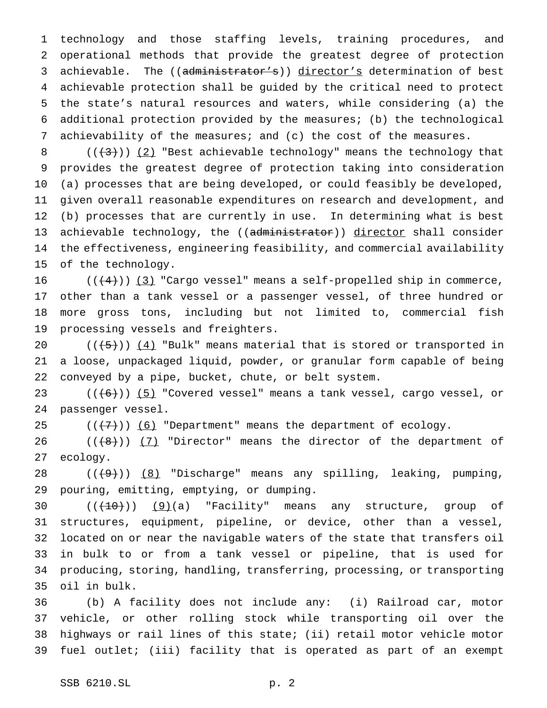technology and those staffing levels, training procedures, and operational methods that provide the greatest degree of protection 3 achievable. The ((administrator's)) director's determination of best achievable protection shall be guided by the critical need to protect the state's natural resources and waters, while considering (a) the additional protection provided by the measures; (b) the technological achievability of the measures; and (c) the cost of the measures.

 $((+3))$   $(2)$  "Best achievable technology" means the technology that provides the greatest degree of protection taking into consideration (a) processes that are being developed, or could feasibly be developed, given overall reasonable expenditures on research and development, and (b) processes that are currently in use. In determining what is best 13 achievable technology, the ((administrator)) director shall consider the effectiveness, engineering feasibility, and commercial availability of the technology.

 $((+4))$  (3) "Cargo vessel" means a self-propelled ship in commerce, other than a tank vessel or a passenger vessel, of three hundred or more gross tons, including but not limited to, commercial fish processing vessels and freighters.

 $((\frac{1}{5}))(4)$  "Bulk" means material that is stored or transported in a loose, unpackaged liquid, powder, or granular form capable of being conveyed by a pipe, bucket, chute, or belt system.

 $((+6))$   $(5)$  "Covered vessel" means a tank vessel, cargo vessel, or passenger vessel.

 $((\langle 7\rangle)(6)$  "Department" means the department of ecology.

26  $((+8))$   $(7)$  "Director" means the director of the department of ecology.

 $((+9))$   $(8)$  "Discharge" means any spilling, leaking, pumping, pouring, emitting, emptying, or dumping.

 $((+10))$   $(9)(a)$  "Facility" means any structure, group of structures, equipment, pipeline, or device, other than a vessel, located on or near the navigable waters of the state that transfers oil in bulk to or from a tank vessel or pipeline, that is used for producing, storing, handling, transferring, processing, or transporting oil in bulk.

 (b) A facility does not include any: (i) Railroad car, motor vehicle, or other rolling stock while transporting oil over the highways or rail lines of this state; (ii) retail motor vehicle motor fuel outlet; (iii) facility that is operated as part of an exempt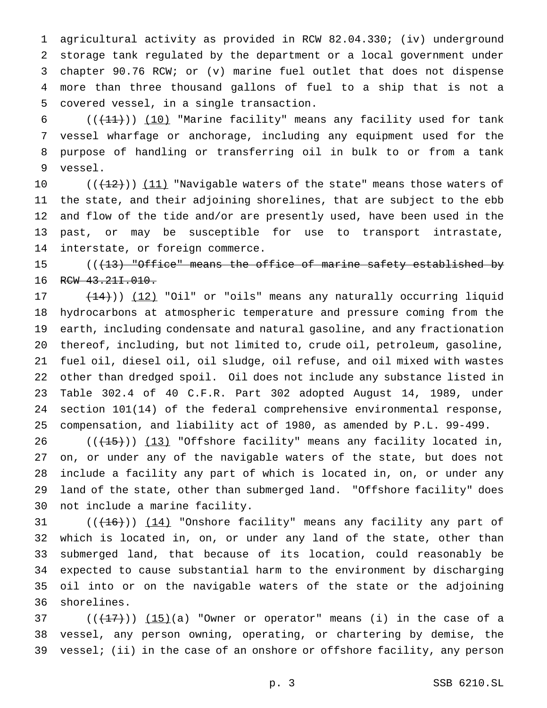agricultural activity as provided in RCW 82.04.330; (iv) underground storage tank regulated by the department or a local government under chapter 90.76 RCW; or (v) marine fuel outlet that does not dispense more than three thousand gallons of fuel to a ship that is not a covered vessel, in a single transaction.

 $((+11))$  (10) "Marine facility" means any facility used for tank vessel wharfage or anchorage, including any equipment used for the purpose of handling or transferring oil in bulk to or from a tank vessel.

 $((+2)^n)(11)$  "Navigable waters of the state" means those waters of the state, and their adjoining shorelines, that are subject to the ebb and flow of the tide and/or are presently used, have been used in the past, or may be susceptible for use to transport intrastate, interstate, or foreign commerce.

15 (( $\{13\}$  "Office" means the office of marine safety established by 16 RCW 43.211.010.

17 (14))) (12) "Oil" or "oils" means any naturally occurring liquid hydrocarbons at atmospheric temperature and pressure coming from the earth, including condensate and natural gasoline, and any fractionation thereof, including, but not limited to, crude oil, petroleum, gasoline, fuel oil, diesel oil, oil sludge, oil refuse, and oil mixed with wastes other than dredged spoil. Oil does not include any substance listed in Table 302.4 of 40 C.F.R. Part 302 adopted August 14, 1989, under section 101(14) of the federal comprehensive environmental response, compensation, and liability act of 1980, as amended by P.L. 99-499.

 $((+15))$   $(13)$  "Offshore facility" means any facility located in, on, or under any of the navigable waters of the state, but does not include a facility any part of which is located in, on, or under any land of the state, other than submerged land. "Offshore facility" does not include a marine facility.

 $((+16))$   $(14)$  "Onshore facility" means any facility any part of which is located in, on, or under any land of the state, other than submerged land, that because of its location, could reasonably be expected to cause substantial harm to the environment by discharging oil into or on the navigable waters of the state or the adjoining shorelines.

 ( $(\frac{17}{17})$ )  $(15)(a)$  "Owner or operator" means (i) in the case of a vessel, any person owning, operating, or chartering by demise, the vessel; (ii) in the case of an onshore or offshore facility, any person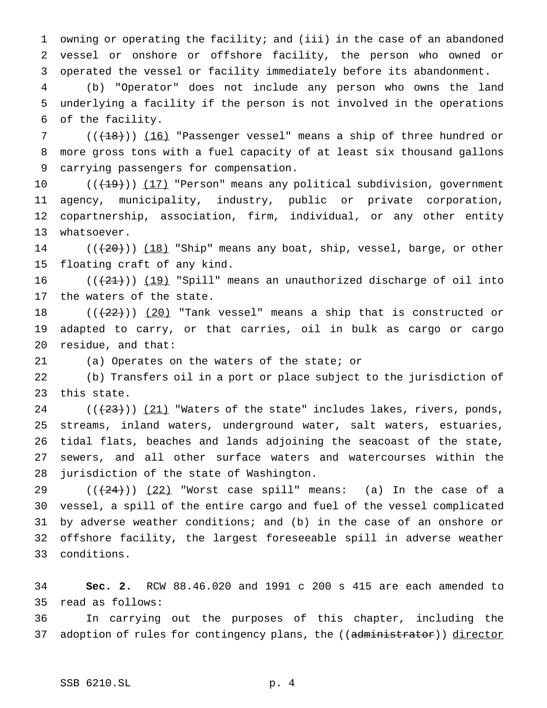owning or operating the facility; and (iii) in the case of an abandoned vessel or onshore or offshore facility, the person who owned or operated the vessel or facility immediately before its abandonment.

 (b) "Operator" does not include any person who owns the land underlying a facility if the person is not involved in the operations of the facility.

7 (( $(18)$ )) (16) "Passenger vessel" means a ship of three hundred or more gross tons with a fuel capacity of at least six thousand gallons carrying passengers for compensation.

10 ((<del>(19)</del>)) (17) "Person" means any political subdivision, government agency, municipality, industry, public or private corporation, copartnership, association, firm, individual, or any other entity whatsoever.

 $((+20))$  (18) "Ship" means any boat, ship, vessel, barge, or other floating craft of any kind.

16  $((+21))$   $(19)$  "Spill" means an unauthorized discharge of oil into the waters of the state.

 $((+22))$   $(20)$  "Tank vessel" means a ship that is constructed or adapted to carry, or that carries, oil in bulk as cargo or cargo residue, and that:

(a) Operates on the waters of the state; or

 (b) Transfers oil in a port or place subject to the jurisdiction of this state.

 ( $(\frac{23}{})$ )  $(21)$  "Waters of the state" includes lakes, rivers, ponds, streams, inland waters, underground water, salt waters, estuaries, tidal flats, beaches and lands adjoining the seacoast of the state, sewers, and all other surface waters and watercourses within the jurisdiction of the state of Washington.

 $((+24))$   $(22)$  "Worst case spill" means: (a) In the case of a vessel, a spill of the entire cargo and fuel of the vessel complicated by adverse weather conditions; and (b) in the case of an onshore or offshore facility, the largest foreseeable spill in adverse weather conditions.

 **Sec. 2.** RCW 88.46.020 and 1991 c 200 s 415 are each amended to read as follows:

 In carrying out the purposes of this chapter, including the 37 adoption of rules for contingency plans, the ((administrator)) director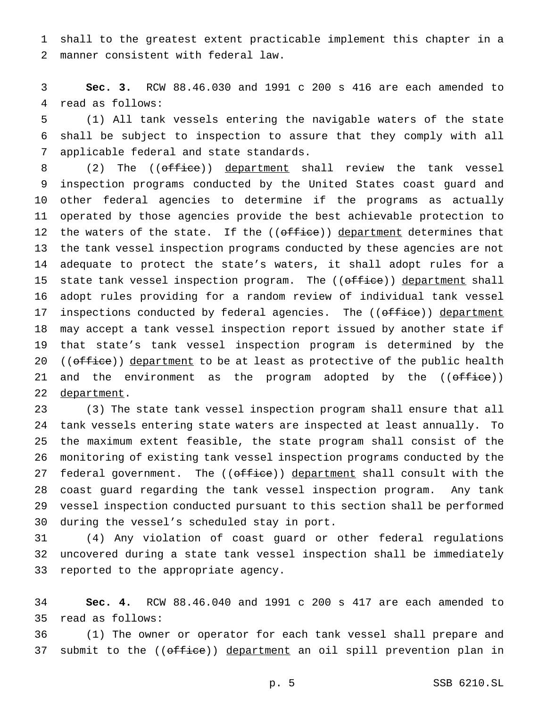shall to the greatest extent practicable implement this chapter in a manner consistent with federal law.

 **Sec. 3.** RCW 88.46.030 and 1991 c 200 s 416 are each amended to read as follows:

 (1) All tank vessels entering the navigable waters of the state shall be subject to inspection to assure that they comply with all applicable federal and state standards.

8 (2) The (( $\sigma$ ffice)) department shall review the tank vessel inspection programs conducted by the United States coast guard and other federal agencies to determine if the programs as actually operated by those agencies provide the best achievable protection to 12 the waters of the state. If the ((office)) department determines that the tank vessel inspection programs conducted by these agencies are not adequate to protect the state's waters, it shall adopt rules for a 15 state tank vessel inspection program. The ((office)) department shall adopt rules providing for a random review of individual tank vessel 17 inspections conducted by federal agencies. The ((office)) department may accept a tank vessel inspection report issued by another state if that state's tank vessel inspection program is determined by the 20 ((office)) department to be at least as protective of the public health 21 and the environment as the program adopted by the ((office)) 22 department.

 (3) The state tank vessel inspection program shall ensure that all tank vessels entering state waters are inspected at least annually. To the maximum extent feasible, the state program shall consist of the monitoring of existing tank vessel inspection programs conducted by the 27 federal government. The ((office)) department shall consult with the coast guard regarding the tank vessel inspection program. Any tank vessel inspection conducted pursuant to this section shall be performed during the vessel's scheduled stay in port.

 (4) Any violation of coast guard or other federal regulations uncovered during a state tank vessel inspection shall be immediately reported to the appropriate agency.

 **Sec. 4.** RCW 88.46.040 and 1991 c 200 s 417 are each amended to read as follows:

 (1) The owner or operator for each tank vessel shall prepare and 37 submit to the ((office)) department an oil spill prevention plan in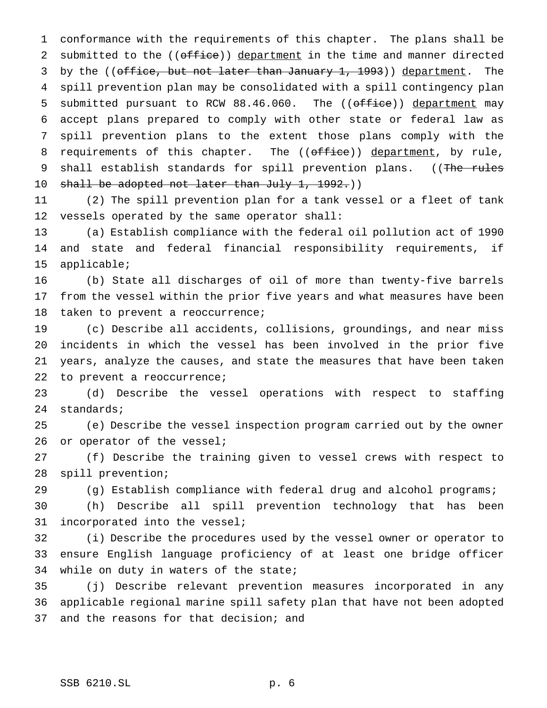conformance with the requirements of this chapter. The plans shall be 2 submitted to the ((office)) department in the time and manner directed 3 by the ((office, but not later than January 1, 1993)) department. The spill prevention plan may be consolidated with a spill contingency plan 5 submitted pursuant to RCW 88.46.060. The ((office)) department may accept plans prepared to comply with other state or federal law as spill prevention plans to the extent those plans comply with the 8 requirements of this chapter. The ((office)) department, by rule, 9 shall establish standards for spill prevention plans. ((The rules 10 shall be adopted not later than July 1, 1992.))

 (2) The spill prevention plan for a tank vessel or a fleet of tank vessels operated by the same operator shall:

 (a) Establish compliance with the federal oil pollution act of 1990 and state and federal financial responsibility requirements, if applicable;

 (b) State all discharges of oil of more than twenty-five barrels from the vessel within the prior five years and what measures have been 18 taken to prevent a reoccurrence;

 (c) Describe all accidents, collisions, groundings, and near miss incidents in which the vessel has been involved in the prior five years, analyze the causes, and state the measures that have been taken 22 to prevent a reoccurrence;

 (d) Describe the vessel operations with respect to staffing standards;

 (e) Describe the vessel inspection program carried out by the owner 26 or operator of the vessel;

 (f) Describe the training given to vessel crews with respect to spill prevention;

(g) Establish compliance with federal drug and alcohol programs;

 (h) Describe all spill prevention technology that has been incorporated into the vessel;

 (i) Describe the procedures used by the vessel owner or operator to ensure English language proficiency of at least one bridge officer 34 while on duty in waters of the state;

 (j) Describe relevant prevention measures incorporated in any applicable regional marine spill safety plan that have not been adopted and the reasons for that decision; and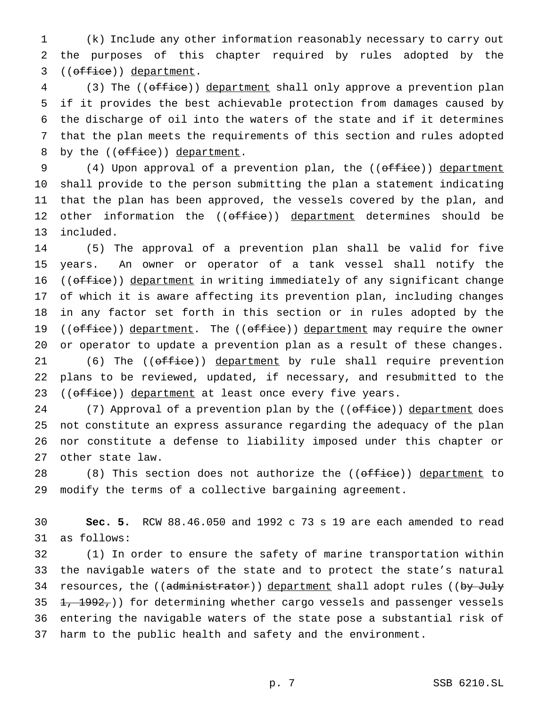(k) Include any other information reasonably necessary to carry out the purposes of this chapter required by rules adopted by the 3 ((office)) department.

4 (3) The ((office)) department shall only approve a prevention plan if it provides the best achievable protection from damages caused by the discharge of oil into the waters of the state and if it determines that the plan meets the requirements of this section and rules adopted 8 by the ((office)) department.

9 (4) Upon approval of a prevention plan, the ((office)) department shall provide to the person submitting the plan a statement indicating that the plan has been approved, the vessels covered by the plan, and 12 other information the ((office)) department determines should be included.

 (5) The approval of a prevention plan shall be valid for five years. An owner or operator of a tank vessel shall notify the 16 ((office)) department in writing immediately of any significant change of which it is aware affecting its prevention plan, including changes in any factor set forth in this section or in rules adopted by the 19 ((office)) department. The ((office)) department may require the owner or operator to update a prevention plan as a result of these changes. 21 (6) The ((office)) department by rule shall require prevention

 plans to be reviewed, updated, if necessary, and resubmitted to the 23 ((office)) department at least once every five years.

24 (7) Approval of a prevention plan by the ((office)) department does not constitute an express assurance regarding the adequacy of the plan nor constitute a defense to liability imposed under this chapter or other state law.

28 (8) This section does not authorize the ((office)) department to modify the terms of a collective bargaining agreement.

 **Sec. 5.** RCW 88.46.050 and 1992 c 73 s 19 are each amended to read as follows:

 (1) In order to ensure the safety of marine transportation within the navigable waters of the state and to protect the state's natural 34 resources, the ((administrator)) department shall adopt rules ((by July  $\pm$ ,  $\pm$ 992,)) for determining whether cargo vessels and passenger vessels entering the navigable waters of the state pose a substantial risk of harm to the public health and safety and the environment.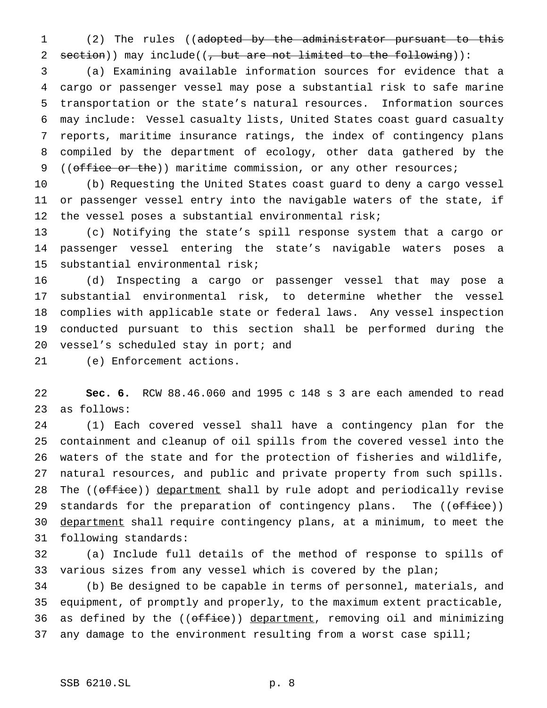(2) The rules ((adopted by the administrator pursuant to this 2 section)) may include( $\left(\frac{1}{f} - \frac{1}{f} \right)$  but are not limited to the following)):

 (a) Examining available information sources for evidence that a cargo or passenger vessel may pose a substantial risk to safe marine transportation or the state's natural resources. Information sources may include: Vessel casualty lists, United States coast guard casualty reports, maritime insurance ratings, the index of contingency plans compiled by the department of ecology, other data gathered by the 9 ((office or the)) maritime commission, or any other resources;

 (b) Requesting the United States coast guard to deny a cargo vessel or passenger vessel entry into the navigable waters of the state, if the vessel poses a substantial environmental risk;

 (c) Notifying the state's spill response system that a cargo or passenger vessel entering the state's navigable waters poses a substantial environmental risk;

 (d) Inspecting a cargo or passenger vessel that may pose a substantial environmental risk, to determine whether the vessel complies with applicable state or federal laws. Any vessel inspection conducted pursuant to this section shall be performed during the 20 vessel's scheduled stay in port; and

(e) Enforcement actions.

 **Sec. 6.** RCW 88.46.060 and 1995 c 148 s 3 are each amended to read as follows:

 (1) Each covered vessel shall have a contingency plan for the containment and cleanup of oil spills from the covered vessel into the waters of the state and for the protection of fisheries and wildlife, natural resources, and public and private property from such spills. 28 The ((office)) department shall by rule adopt and periodically revise 29 standards for the preparation of contingency plans. The ((office)) 30 department shall require contingency plans, at a minimum, to meet the following standards:

 (a) Include full details of the method of response to spills of 33 various sizes from any vessel which is covered by the plan;

 (b) Be designed to be capable in terms of personnel, materials, and equipment, of promptly and properly, to the maximum extent practicable, 36 as defined by the ((office)) department, removing oil and minimizing 37 any damage to the environment resulting from a worst case spill;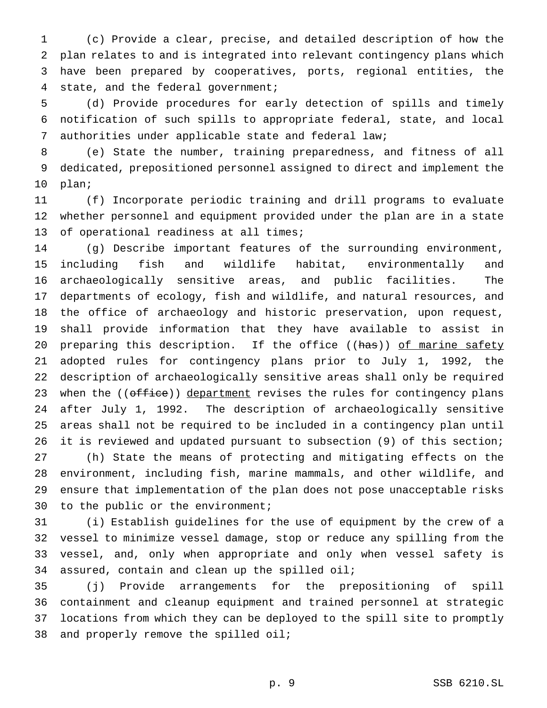(c) Provide a clear, precise, and detailed description of how the plan relates to and is integrated into relevant contingency plans which have been prepared by cooperatives, ports, regional entities, the state, and the federal government;

 (d) Provide procedures for early detection of spills and timely notification of such spills to appropriate federal, state, and local authorities under applicable state and federal law;

 (e) State the number, training preparedness, and fitness of all dedicated, prepositioned personnel assigned to direct and implement the plan;

 (f) Incorporate periodic training and drill programs to evaluate whether personnel and equipment provided under the plan are in a state of operational readiness at all times;

 (g) Describe important features of the surrounding environment, including fish and wildlife habitat, environmentally and archaeologically sensitive areas, and public facilities. The departments of ecology, fish and wildlife, and natural resources, and the office of archaeology and historic preservation, upon request, shall provide information that they have available to assist in 20 preparing this description. If the office ((has)) of marine safety adopted rules for contingency plans prior to July 1, 1992, the description of archaeologically sensitive areas shall only be required 23 when the ((office)) department revises the rules for contingency plans after July 1, 1992. The description of archaeologically sensitive areas shall not be required to be included in a contingency plan until it is reviewed and updated pursuant to subsection (9) of this section; (h) State the means of protecting and mitigating effects on the environment, including fish, marine mammals, and other wildlife, and ensure that implementation of the plan does not pose unacceptable risks to the public or the environment;

 (i) Establish guidelines for the use of equipment by the crew of a vessel to minimize vessel damage, stop or reduce any spilling from the vessel, and, only when appropriate and only when vessel safety is assured, contain and clean up the spilled oil;

 (j) Provide arrangements for the prepositioning of spill containment and cleanup equipment and trained personnel at strategic locations from which they can be deployed to the spill site to promptly and properly remove the spilled oil;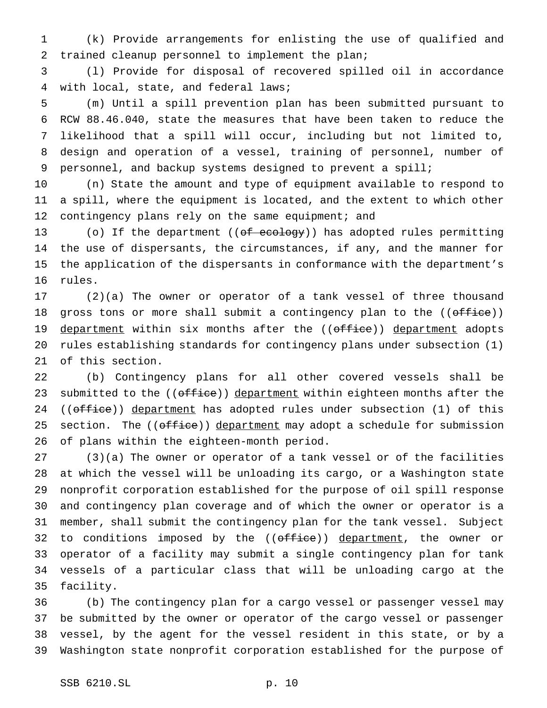(k) Provide arrangements for enlisting the use of qualified and trained cleanup personnel to implement the plan;

 (l) Provide for disposal of recovered spilled oil in accordance with local, state, and federal laws;

 (m) Until a spill prevention plan has been submitted pursuant to RCW 88.46.040, state the measures that have been taken to reduce the likelihood that a spill will occur, including but not limited to, design and operation of a vessel, training of personnel, number of personnel, and backup systems designed to prevent a spill;

 (n) State the amount and type of equipment available to respond to a spill, where the equipment is located, and the extent to which other 12 contingency plans rely on the same equipment; and

13 (o) If the department ((of ecology)) has adopted rules permitting the use of dispersants, the circumstances, if any, and the manner for the application of the dispersants in conformance with the department's rules.

 (2)(a) The owner or operator of a tank vessel of three thousand 18 gross tons or more shall submit a contingency plan to the  $((\text{offset} e))$ 19 department within six months after the ((office)) department adopts rules establishing standards for contingency plans under subsection (1) of this section.

 (b) Contingency plans for all other covered vessels shall be 23 submitted to the ((office)) department within eighteen months after the 24 ((office)) department has adopted rules under subsection (1) of this 25 section. The ((office)) department may adopt a schedule for submission of plans within the eighteen-month period.

 (3)(a) The owner or operator of a tank vessel or of the facilities at which the vessel will be unloading its cargo, or a Washington state nonprofit corporation established for the purpose of oil spill response and contingency plan coverage and of which the owner or operator is a member, shall submit the contingency plan for the tank vessel. Subject 32 to conditions imposed by the ((office)) department, the owner or operator of a facility may submit a single contingency plan for tank vessels of a particular class that will be unloading cargo at the facility.

 (b) The contingency plan for a cargo vessel or passenger vessel may be submitted by the owner or operator of the cargo vessel or passenger vessel, by the agent for the vessel resident in this state, or by a Washington state nonprofit corporation established for the purpose of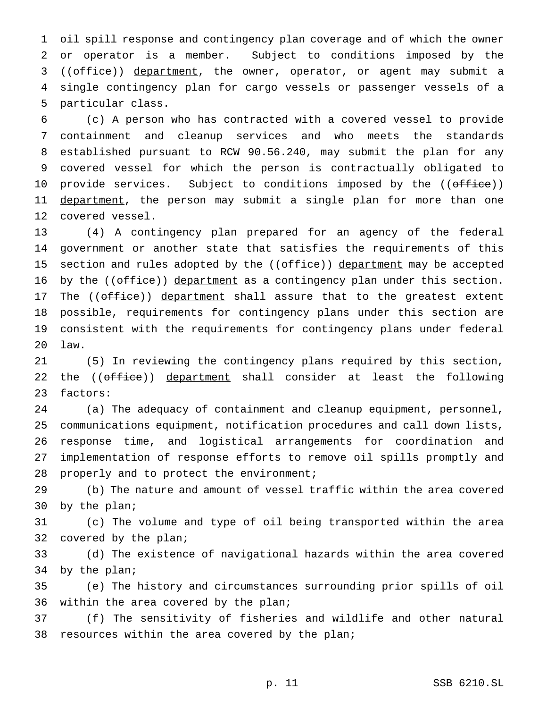oil spill response and contingency plan coverage and of which the owner or operator is a member. Subject to conditions imposed by the 3 ((office)) department, the owner, operator, or agent may submit a single contingency plan for cargo vessels or passenger vessels of a particular class.

 (c) A person who has contracted with a covered vessel to provide containment and cleanup services and who meets the standards established pursuant to RCW 90.56.240, may submit the plan for any covered vessel for which the person is contractually obligated to 10 provide services. Subject to conditions imposed by the ((office)) 11 department, the person may submit a single plan for more than one covered vessel.

 (4) A contingency plan prepared for an agency of the federal government or another state that satisfies the requirements of this 15 section and rules adopted by the ((office)) department may be accepted 16 by the ((office)) department as a contingency plan under this section. 17 The ((office)) department shall assure that to the greatest extent possible, requirements for contingency plans under this section are consistent with the requirements for contingency plans under federal law.

 (5) In reviewing the contingency plans required by this section, 22 the ((office)) department shall consider at least the following factors:

 (a) The adequacy of containment and cleanup equipment, personnel, communications equipment, notification procedures and call down lists, response time, and logistical arrangements for coordination and implementation of response efforts to remove oil spills promptly and 28 properly and to protect the environment;

 (b) The nature and amount of vessel traffic within the area covered by the plan;

 (c) The volume and type of oil being transported within the area covered by the plan;

 (d) The existence of navigational hazards within the area covered by the plan;

 (e) The history and circumstances surrounding prior spills of oil within the area covered by the plan;

 (f) The sensitivity of fisheries and wildlife and other natural 38 resources within the area covered by the plan;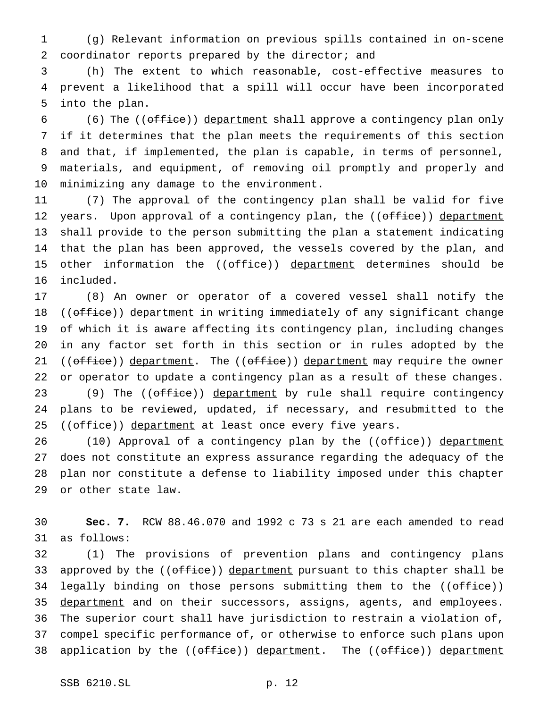(g) Relevant information on previous spills contained in on-scene coordinator reports prepared by the director; and

 (h) The extent to which reasonable, cost-effective measures to prevent a likelihood that a spill will occur have been incorporated into the plan.

6 (6) The  $((\text{effective})$  department shall approve a contingency plan only if it determines that the plan meets the requirements of this section and that, if implemented, the plan is capable, in terms of personnel, materials, and equipment, of removing oil promptly and properly and minimizing any damage to the environment.

 (7) The approval of the contingency plan shall be valid for five 12 years. Upon approval of a contingency plan, the ((office)) department shall provide to the person submitting the plan a statement indicating that the plan has been approved, the vessels covered by the plan, and 15 other information the ((office)) department determines should be included.

 (8) An owner or operator of a covered vessel shall notify the 18 ((office)) department in writing immediately of any significant change of which it is aware affecting its contingency plan, including changes in any factor set forth in this section or in rules adopted by the 21 ((office)) department. The ((office)) department may require the owner or operator to update a contingency plan as a result of these changes. 23 (9) The ((office)) department by rule shall require contingency plans to be reviewed, updated, if necessary, and resubmitted to the 25 ((office)) department at least once every five years.

26 (10) Approval of a contingency plan by the ((office)) department does not constitute an express assurance regarding the adequacy of the plan nor constitute a defense to liability imposed under this chapter or other state law.

 **Sec. 7.** RCW 88.46.070 and 1992 c 73 s 21 are each amended to read as follows:

 (1) The provisions of prevention plans and contingency plans 33 approved by the ((office)) department pursuant to this chapter shall be 34 legally binding on those persons submitting them to the ((office)) 35 department and on their successors, assigns, agents, and employees. The superior court shall have jurisdiction to restrain a violation of, compel specific performance of, or otherwise to enforce such plans upon 38 application by the ((office)) department. The ((office)) department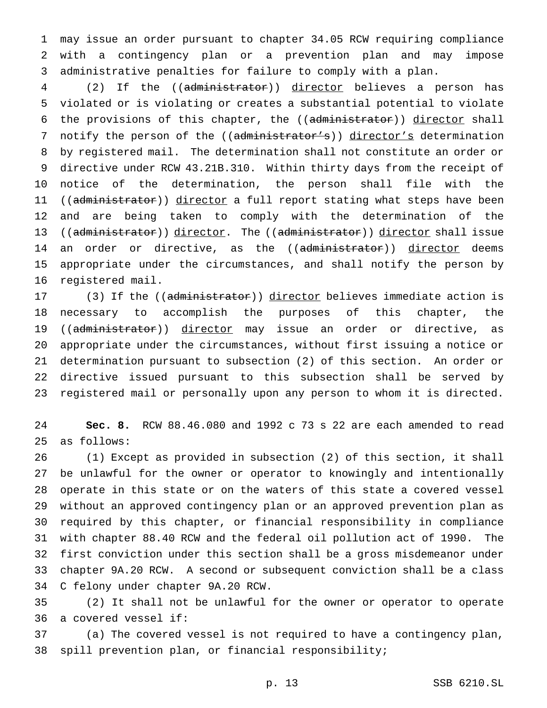may issue an order pursuant to chapter 34.05 RCW requiring compliance with a contingency plan or a prevention plan and may impose administrative penalties for failure to comply with a plan.

 (2) If the ((administrator)) director believes a person has violated or is violating or creates a substantial potential to violate 6 the provisions of this chapter, the ((administrator)) director shall 7 notify the person of the ((administrator's)) director's determination by registered mail. The determination shall not constitute an order or directive under RCW 43.21B.310. Within thirty days from the receipt of notice of the determination, the person shall file with the 11 ((administrator)) director a full report stating what steps have been and are being taken to comply with the determination of the 13 ((administrator)) director. The ((administrator)) director shall issue 14 an order or directive, as the ((administrator)) director deems appropriate under the circumstances, and shall notify the person by registered mail.

17 (3) If the ((administrator)) director believes immediate action is necessary to accomplish the purposes of this chapter, the 19 ((administrator)) director may issue an order or directive, as appropriate under the circumstances, without first issuing a notice or determination pursuant to subsection (2) of this section. An order or directive issued pursuant to this subsection shall be served by registered mail or personally upon any person to whom it is directed.

 **Sec. 8.** RCW 88.46.080 and 1992 c 73 s 22 are each amended to read as follows:

 (1) Except as provided in subsection (2) of this section, it shall be unlawful for the owner or operator to knowingly and intentionally operate in this state or on the waters of this state a covered vessel without an approved contingency plan or an approved prevention plan as required by this chapter, or financial responsibility in compliance with chapter 88.40 RCW and the federal oil pollution act of 1990. The first conviction under this section shall be a gross misdemeanor under chapter 9A.20 RCW. A second or subsequent conviction shall be a class C felony under chapter 9A.20 RCW.

 (2) It shall not be unlawful for the owner or operator to operate a covered vessel if:

 (a) The covered vessel is not required to have a contingency plan, spill prevention plan, or financial responsibility;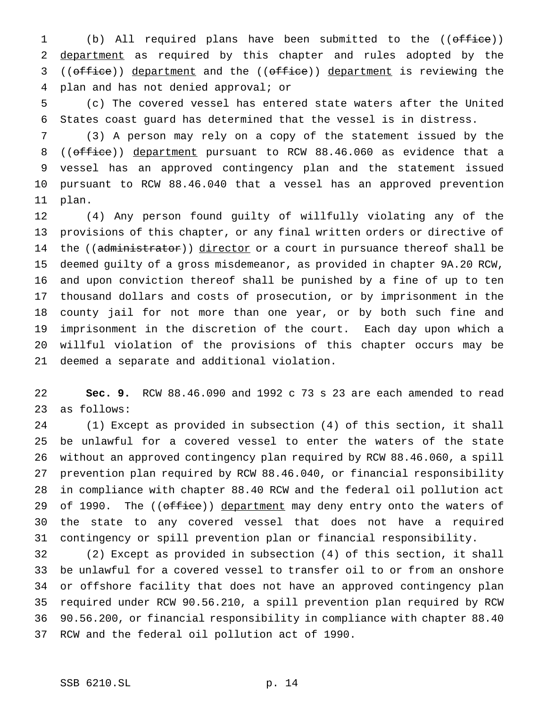(b) All required plans have been submitted to the ((office)) 2 department as required by this chapter and rules adopted by the 3 ((office)) department and the ((office)) department is reviewing the plan and has not denied approval; or

 (c) The covered vessel has entered state waters after the United States coast guard has determined that the vessel is in distress.

 (3) A person may rely on a copy of the statement issued by the 8 ((office)) department pursuant to RCW 88.46.060 as evidence that a vessel has an approved contingency plan and the statement issued pursuant to RCW 88.46.040 that a vessel has an approved prevention plan.

 (4) Any person found guilty of willfully violating any of the provisions of this chapter, or any final written orders or directive of 14 the ((administrator)) director or a court in pursuance thereof shall be deemed guilty of a gross misdemeanor, as provided in chapter 9A.20 RCW, and upon conviction thereof shall be punished by a fine of up to ten thousand dollars and costs of prosecution, or by imprisonment in the county jail for not more than one year, or by both such fine and imprisonment in the discretion of the court. Each day upon which a willful violation of the provisions of this chapter occurs may be deemed a separate and additional violation.

 **Sec. 9.** RCW 88.46.090 and 1992 c 73 s 23 are each amended to read as follows:

 (1) Except as provided in subsection (4) of this section, it shall be unlawful for a covered vessel to enter the waters of the state without an approved contingency plan required by RCW 88.46.060, a spill prevention plan required by RCW 88.46.040, or financial responsibility in compliance with chapter 88.40 RCW and the federal oil pollution act 29 of 1990. The ((office)) department may deny entry onto the waters of the state to any covered vessel that does not have a required contingency or spill prevention plan or financial responsibility.

 (2) Except as provided in subsection (4) of this section, it shall be unlawful for a covered vessel to transfer oil to or from an onshore or offshore facility that does not have an approved contingency plan required under RCW 90.56.210, a spill prevention plan required by RCW 90.56.200, or financial responsibility in compliance with chapter 88.40 RCW and the federal oil pollution act of 1990.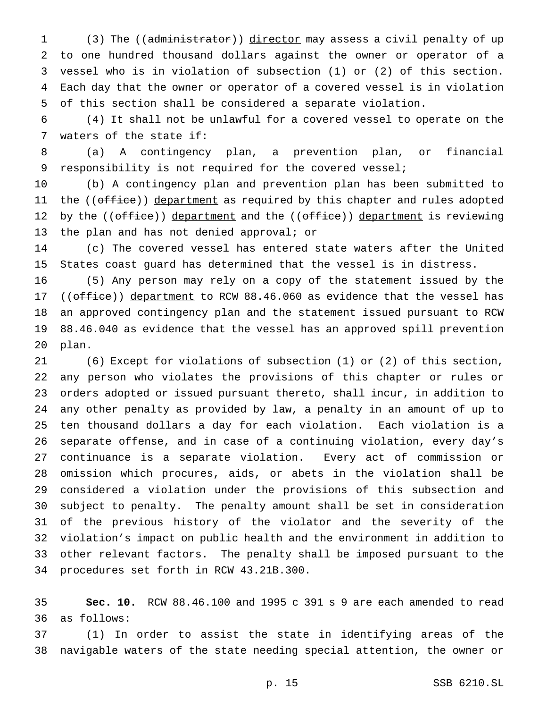1 (3) The ((administrator)) director may assess a civil penalty of up to one hundred thousand dollars against the owner or operator of a vessel who is in violation of subsection (1) or (2) of this section. Each day that the owner or operator of a covered vessel is in violation of this section shall be considered a separate violation.

 (4) It shall not be unlawful for a covered vessel to operate on the waters of the state if:

 (a) A contingency plan, a prevention plan, or financial responsibility is not required for the covered vessel;

 (b) A contingency plan and prevention plan has been submitted to 11 the ((office)) department as required by this chapter and rules adopted 12 by the ((office)) department and the ((office)) department is reviewing 13 the plan and has not denied approval; or

 (c) The covered vessel has entered state waters after the United States coast guard has determined that the vessel is in distress.

 (5) Any person may rely on a copy of the statement issued by the 17 (( $office$ )) department to RCW 88.46.060 as evidence that the vessel has an approved contingency plan and the statement issued pursuant to RCW 88.46.040 as evidence that the vessel has an approved spill prevention plan.

 (6) Except for violations of subsection (1) or (2) of this section, any person who violates the provisions of this chapter or rules or orders adopted or issued pursuant thereto, shall incur, in addition to any other penalty as provided by law, a penalty in an amount of up to ten thousand dollars a day for each violation. Each violation is a separate offense, and in case of a continuing violation, every day's continuance is a separate violation. Every act of commission or omission which procures, aids, or abets in the violation shall be considered a violation under the provisions of this subsection and subject to penalty. The penalty amount shall be set in consideration of the previous history of the violator and the severity of the violation's impact on public health and the environment in addition to other relevant factors. The penalty shall be imposed pursuant to the procedures set forth in RCW 43.21B.300.

 **Sec. 10.** RCW 88.46.100 and 1995 c 391 s 9 are each amended to read as follows:

 (1) In order to assist the state in identifying areas of the navigable waters of the state needing special attention, the owner or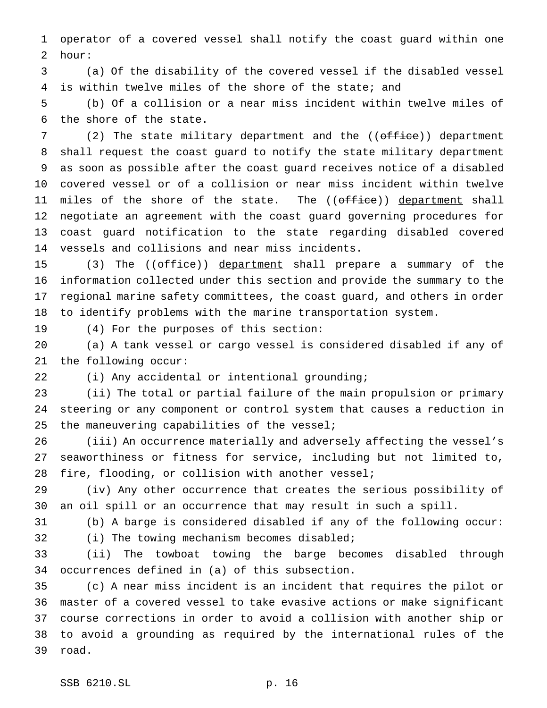operator of a covered vessel shall notify the coast guard within one hour:

 (a) Of the disability of the covered vessel if the disabled vessel is within twelve miles of the shore of the state; and

 (b) Of a collision or a near miss incident within twelve miles of the shore of the state.

7 (2) The state military department and the ((office)) department shall request the coast guard to notify the state military department as soon as possible after the coast guard receives notice of a disabled covered vessel or of a collision or near miss incident within twelve 11 miles of the shore of the state. The ((office)) department shall negotiate an agreement with the coast guard governing procedures for coast guard notification to the state regarding disabled covered vessels and collisions and near miss incidents.

15 (3) The ((office)) department shall prepare a summary of the information collected under this section and provide the summary to the regional marine safety committees, the coast guard, and others in order to identify problems with the marine transportation system.

(4) For the purposes of this section:

 (a) A tank vessel or cargo vessel is considered disabled if any of the following occur:

(i) Any accidental or intentional grounding;

 (ii) The total or partial failure of the main propulsion or primary steering or any component or control system that causes a reduction in the maneuvering capabilities of the vessel;

 (iii) An occurrence materially and adversely affecting the vessel's seaworthiness or fitness for service, including but not limited to, fire, flooding, or collision with another vessel;

 (iv) Any other occurrence that creates the serious possibility of an oil spill or an occurrence that may result in such a spill.

 (b) A barge is considered disabled if any of the following occur: (i) The towing mechanism becomes disabled;

 (ii) The towboat towing the barge becomes disabled through occurrences defined in (a) of this subsection.

 (c) A near miss incident is an incident that requires the pilot or master of a covered vessel to take evasive actions or make significant course corrections in order to avoid a collision with another ship or to avoid a grounding as required by the international rules of the road.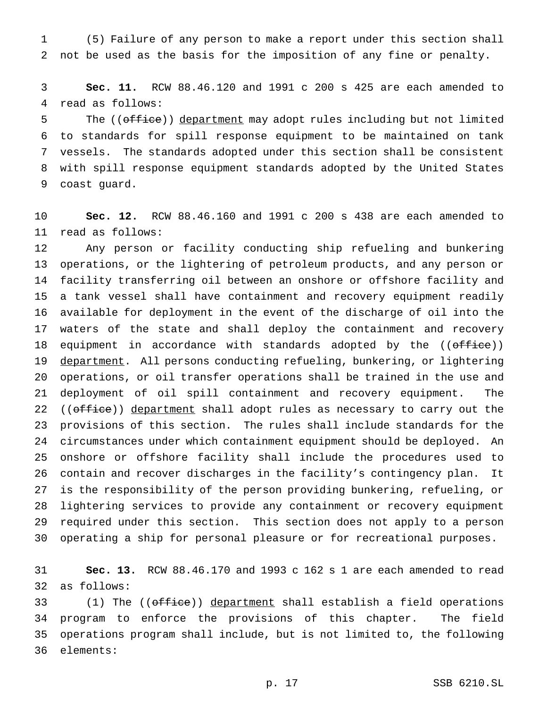(5) Failure of any person to make a report under this section shall not be used as the basis for the imposition of any fine or penalty.

 **Sec. 11.** RCW 88.46.120 and 1991 c 200 s 425 are each amended to read as follows:

5 The ((office)) department may adopt rules including but not limited to standards for spill response equipment to be maintained on tank vessels. The standards adopted under this section shall be consistent with spill response equipment standards adopted by the United States coast guard.

 **Sec. 12.** RCW 88.46.160 and 1991 c 200 s 438 are each amended to read as follows:

 Any person or facility conducting ship refueling and bunkering operations, or the lightering of petroleum products, and any person or facility transferring oil between an onshore or offshore facility and a tank vessel shall have containment and recovery equipment readily available for deployment in the event of the discharge of oil into the waters of the state and shall deploy the containment and recovery 18 equipment in accordance with standards adopted by the ((office)) 19 department. All persons conducting refueling, bunkering, or lightering operations, or oil transfer operations shall be trained in the use and deployment of oil spill containment and recovery equipment. The 22 ((office)) department shall adopt rules as necessary to carry out the provisions of this section. The rules shall include standards for the circumstances under which containment equipment should be deployed. An onshore or offshore facility shall include the procedures used to contain and recover discharges in the facility's contingency plan. It is the responsibility of the person providing bunkering, refueling, or lightering services to provide any containment or recovery equipment required under this section. This section does not apply to a person operating a ship for personal pleasure or for recreational purposes.

 **Sec. 13.** RCW 88.46.170 and 1993 c 162 s 1 are each amended to read as follows:

33 (1) The ((office)) department shall establish a field operations program to enforce the provisions of this chapter. The field operations program shall include, but is not limited to, the following elements: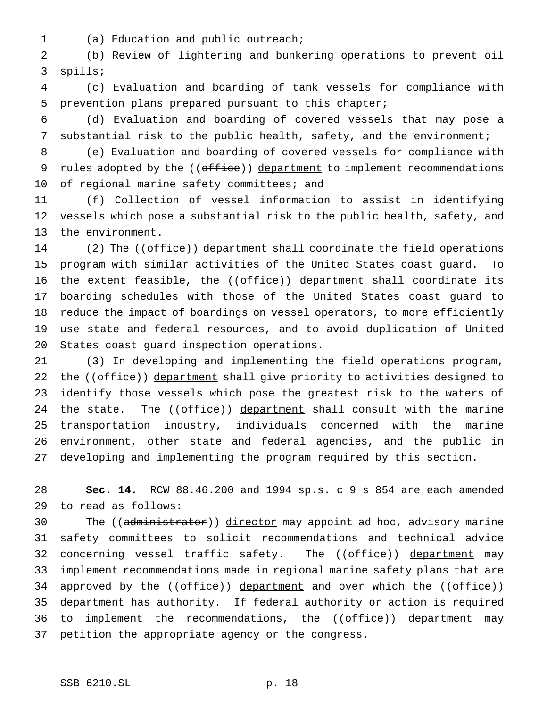(a) Education and public outreach;

 (b) Review of lightering and bunkering operations to prevent oil spills;

 (c) Evaluation and boarding of tank vessels for compliance with prevention plans prepared pursuant to this chapter;

 (d) Evaluation and boarding of covered vessels that may pose a substantial risk to the public health, safety, and the environment;

 (e) Evaluation and boarding of covered vessels for compliance with 9 rules adopted by the ((office)) department to implement recommendations 10 of regional marine safety committees; and

 (f) Collection of vessel information to assist in identifying vessels which pose a substantial risk to the public health, safety, and the environment.

14 (2) The ((office)) department shall coordinate the field operations program with similar activities of the United States coast guard. To 16 the extent feasible, the ((office)) department shall coordinate its boarding schedules with those of the United States coast guard to reduce the impact of boardings on vessel operators, to more efficiently use state and federal resources, and to avoid duplication of United States coast guard inspection operations.

 (3) In developing and implementing the field operations program, 22 the ((office)) department shall give priority to activities designed to identify those vessels which pose the greatest risk to the waters of 24 the state. The  $((\text{offset} i)$  department shall consult with the marine transportation industry, individuals concerned with the marine environment, other state and federal agencies, and the public in developing and implementing the program required by this section.

 **Sec. 14.** RCW 88.46.200 and 1994 sp.s. c 9 s 854 are each amended to read as follows:

30 The ((administrator)) director may appoint ad hoc, advisory marine safety committees to solicit recommendations and technical advice 32 concerning vessel traffic safety. The ((office)) department may implement recommendations made in regional marine safety plans that are 34 approved by the ((office)) department and over which the ((office)) 35 department has authority. If federal authority or action is required 36 to implement the recommendations, the ((office)) department may petition the appropriate agency or the congress.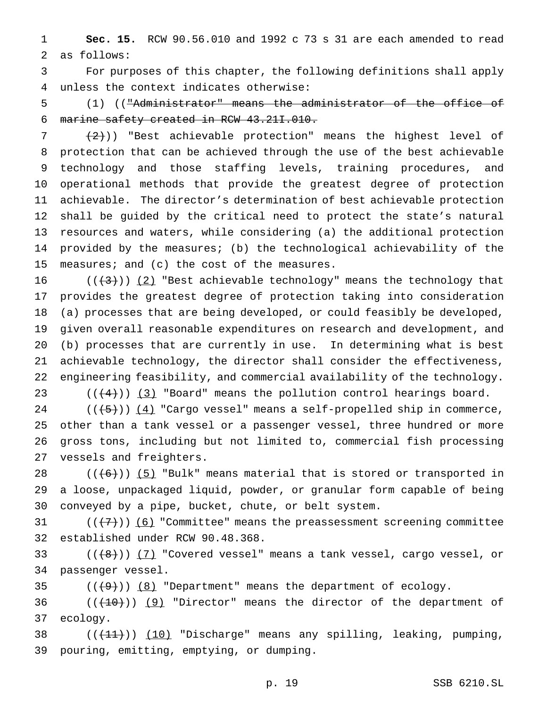**Sec. 15.** RCW 90.56.010 and 1992 c 73 s 31 are each amended to read as follows:

 For purposes of this chapter, the following definitions shall apply unless the context indicates otherwise:

 (1) (("Administrator" means the administrator of the office of marine safety created in RCW 43.21I.010.

 $(2)$ )) "Best achievable protection" means the highest level of protection that can be achieved through the use of the best achievable technology and those staffing levels, training procedures, and operational methods that provide the greatest degree of protection achievable. The director's determination of best achievable protection shall be guided by the critical need to protect the state's natural resources and waters, while considering (a) the additional protection provided by the measures; (b) the technological achievability of the measures; and (c) the cost of the measures.

 $((+3))$  (2) "Best achievable technology" means the technology that provides the greatest degree of protection taking into consideration (a) processes that are being developed, or could feasibly be developed, given overall reasonable expenditures on research and development, and (b) processes that are currently in use. In determining what is best achievable technology, the director shall consider the effectiveness, engineering feasibility, and commercial availability of the technology.

 $((+4))$   $(3)$  "Board" means the pollution control hearings board. (( $\left(\frac{5}{5}\right)$ )  $\left(\frac{4}{5}\right)$  "Cargo vessel" means a self-propelled ship in commerce, other than a tank vessel or a passenger vessel, three hundred or more gross tons, including but not limited to, commercial fish processing vessels and freighters.

 $((6))$  (5) "Bulk" means material that is stored or transported in a loose, unpackaged liquid, powder, or granular form capable of being conveyed by a pipe, bucket, chute, or belt system.

31  $((+7))$  (6) "Committee" means the preassessment screening committee established under RCW 90.48.368.

33  $((+8))$   $(7)$  "Covered vessel" means a tank vessel, cargo vessel, or passenger vessel.

35  $((+9))$   $(8)$  "Department" means the department of ecology.

 $((+10))$  (9) "Director" means the director of the department of ecology.

38  $((+11))$   $(10)$  "Discharge" means any spilling, leaking, pumping, pouring, emitting, emptying, or dumping.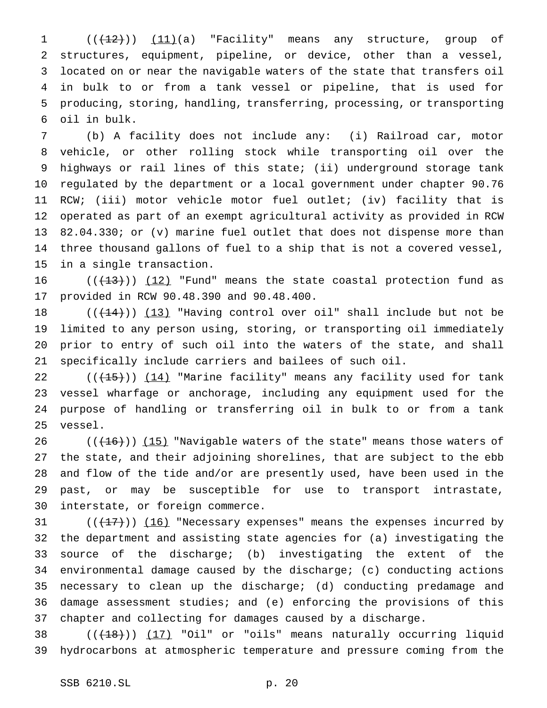$((+12))$   $(11)(a)$  "Facility" means any structure, group of structures, equipment, pipeline, or device, other than a vessel, located on or near the navigable waters of the state that transfers oil in bulk to or from a tank vessel or pipeline, that is used for producing, storing, handling, transferring, processing, or transporting oil in bulk.

 (b) A facility does not include any: (i) Railroad car, motor vehicle, or other rolling stock while transporting oil over the highways or rail lines of this state; (ii) underground storage tank regulated by the department or a local government under chapter 90.76 RCW; (iii) motor vehicle motor fuel outlet; (iv) facility that is operated as part of an exempt agricultural activity as provided in RCW 82.04.330; or (v) marine fuel outlet that does not dispense more than three thousand gallons of fuel to a ship that is not a covered vessel, in a single transaction.

 $((+13))$  (12) "Fund" means the state coastal protection fund as provided in RCW 90.48.390 and 90.48.400.

 $((+14))$   $(13)$  "Having control over oil" shall include but not be limited to any person using, storing, or transporting oil immediately prior to entry of such oil into the waters of the state, and shall specifically include carriers and bailees of such oil.

 $((+15))$   $(14)$  "Marine facility" means any facility used for tank vessel wharfage or anchorage, including any equipment used for the purpose of handling or transferring oil in bulk to or from a tank vessel.

 $((+16))$   $(15)$  "Navigable waters of the state" means those waters of the state, and their adjoining shorelines, that are subject to the ebb and flow of the tide and/or are presently used, have been used in the past, or may be susceptible for use to transport intrastate, interstate, or foreign commerce.

 $((+17))$   $(16)$  "Necessary expenses" means the expenses incurred by the department and assisting state agencies for (a) investigating the source of the discharge; (b) investigating the extent of the environmental damage caused by the discharge; (c) conducting actions necessary to clean up the discharge; (d) conducting predamage and damage assessment studies; and (e) enforcing the provisions of this chapter and collecting for damages caused by a discharge.

38  $((+18))$   $(17)$  "Oil" or "oils" means naturally occurring liquid hydrocarbons at atmospheric temperature and pressure coming from the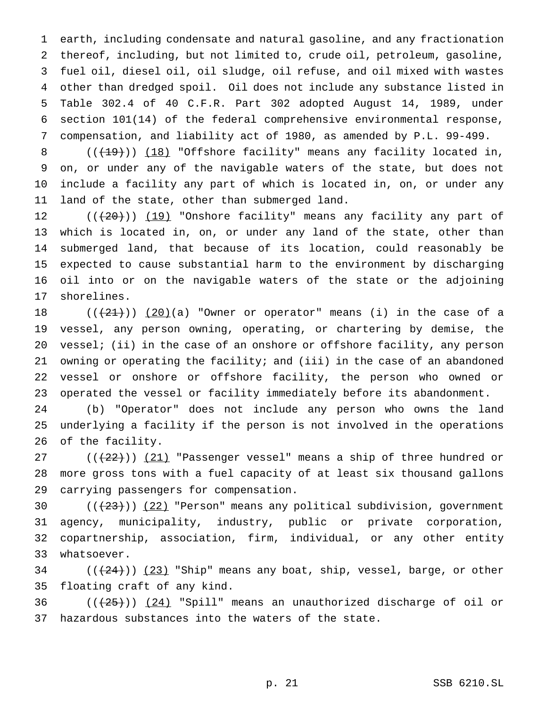earth, including condensate and natural gasoline, and any fractionation thereof, including, but not limited to, crude oil, petroleum, gasoline, fuel oil, diesel oil, oil sludge, oil refuse, and oil mixed with wastes other than dredged spoil. Oil does not include any substance listed in Table 302.4 of 40 C.F.R. Part 302 adopted August 14, 1989, under section 101(14) of the federal comprehensive environmental response, compensation, and liability act of 1980, as amended by P.L. 99-499.

8 (((19))) (18) "Offshore facility" means any facility located in, on, or under any of the navigable waters of the state, but does not include a facility any part of which is located in, on, or under any land of the state, other than submerged land.

12 (( $(20)$ )) (19) "Onshore facility" means any facility any part of which is located in, on, or under any land of the state, other than submerged land, that because of its location, could reasonably be expected to cause substantial harm to the environment by discharging oil into or on the navigable waters of the state or the adjoining shorelines.

 $((+21))$   $(20)(a)$  "Owner or operator" means (i) in the case of a vessel, any person owning, operating, or chartering by demise, the vessel; (ii) in the case of an onshore or offshore facility, any person owning or operating the facility; and (iii) in the case of an abandoned vessel or onshore or offshore facility, the person who owned or operated the vessel or facility immediately before its abandonment.

 (b) "Operator" does not include any person who owns the land underlying a facility if the person is not involved in the operations of the facility.

 $((+22))$   $(21)$  "Passenger vessel" means a ship of three hundred or more gross tons with a fuel capacity of at least six thousand gallons carrying passengers for compensation.

 $((+23))$   $(22)$  "Person" means any political subdivision, government agency, municipality, industry, public or private corporation, copartnership, association, firm, individual, or any other entity whatsoever.

 $((+24))$   $(23)$  "Ship" means any boat, ship, vessel, barge, or other floating craft of any kind.

36  $((+25))$   $(24)$  "Spill" means an unauthorized discharge of oil or hazardous substances into the waters of the state.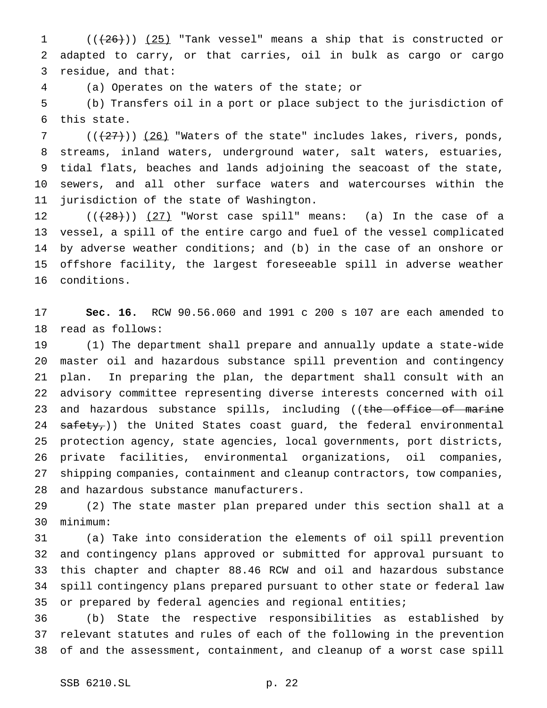1  $((+26))$   $(25)$  "Tank vessel" means a ship that is constructed or adapted to carry, or that carries, oil in bulk as cargo or cargo residue, and that:

(a) Operates on the waters of the state; or

 (b) Transfers oil in a port or place subject to the jurisdiction of this state.

7 ( $(\frac{27}{12})$ ) (26) "Waters of the state" includes lakes, rivers, ponds, streams, inland waters, underground water, salt waters, estuaries, tidal flats, beaches and lands adjoining the seacoast of the state, sewers, and all other surface waters and watercourses within the jurisdiction of the state of Washington.

 $((+28))$   $(27)$  "Worst case spill" means: (a) In the case of a vessel, a spill of the entire cargo and fuel of the vessel complicated by adverse weather conditions; and (b) in the case of an onshore or offshore facility, the largest foreseeable spill in adverse weather conditions.

 **Sec. 16.** RCW 90.56.060 and 1991 c 200 s 107 are each amended to read as follows:

 (1) The department shall prepare and annually update a state-wide master oil and hazardous substance spill prevention and contingency plan. In preparing the plan, the department shall consult with an advisory committee representing diverse interests concerned with oil 23 and hazardous substance spills, including ((the office of marine 24 safety,)) the United States coast guard, the federal environmental protection agency, state agencies, local governments, port districts, private facilities, environmental organizations, oil companies, shipping companies, containment and cleanup contractors, tow companies, and hazardous substance manufacturers.

 (2) The state master plan prepared under this section shall at a minimum:

 (a) Take into consideration the elements of oil spill prevention and contingency plans approved or submitted for approval pursuant to this chapter and chapter 88.46 RCW and oil and hazardous substance spill contingency plans prepared pursuant to other state or federal law 35 or prepared by federal agencies and regional entities;

 (b) State the respective responsibilities as established by relevant statutes and rules of each of the following in the prevention of and the assessment, containment, and cleanup of a worst case spill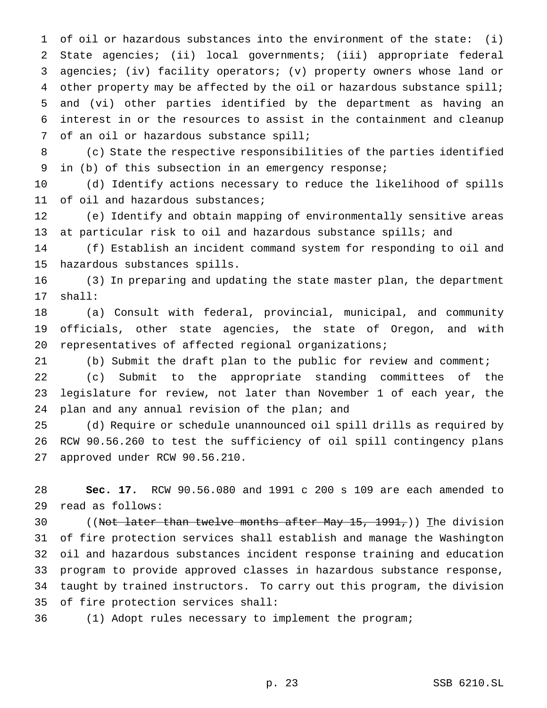of oil or hazardous substances into the environment of the state: (i) State agencies; (ii) local governments; (iii) appropriate federal agencies; (iv) facility operators; (v) property owners whose land or 4 other property may be affected by the oil or hazardous substance spill; and (vi) other parties identified by the department as having an interest in or the resources to assist in the containment and cleanup of an oil or hazardous substance spill;

 (c) State the respective responsibilities of the parties identified in (b) of this subsection in an emergency response;

 (d) Identify actions necessary to reduce the likelihood of spills 11 of oil and hazardous substances;

 (e) Identify and obtain mapping of environmentally sensitive areas at particular risk to oil and hazardous substance spills; and

 (f) Establish an incident command system for responding to oil and hazardous substances spills.

 (3) In preparing and updating the state master plan, the department shall:

 (a) Consult with federal, provincial, municipal, and community officials, other state agencies, the state of Oregon, and with representatives of affected regional organizations;

(b) Submit the draft plan to the public for review and comment;

 (c) Submit to the appropriate standing committees of the legislature for review, not later than November 1 of each year, the plan and any annual revision of the plan; and

 (d) Require or schedule unannounced oil spill drills as required by RCW 90.56.260 to test the sufficiency of oil spill contingency plans approved under RCW 90.56.210.

 **Sec. 17.** RCW 90.56.080 and 1991 c 200 s 109 are each amended to read as follows:

30 ((Not later than twelve months after May 15, 1991,)) The division of fire protection services shall establish and manage the Washington oil and hazardous substances incident response training and education program to provide approved classes in hazardous substance response, taught by trained instructors. To carry out this program, the division of fire protection services shall:

(1) Adopt rules necessary to implement the program;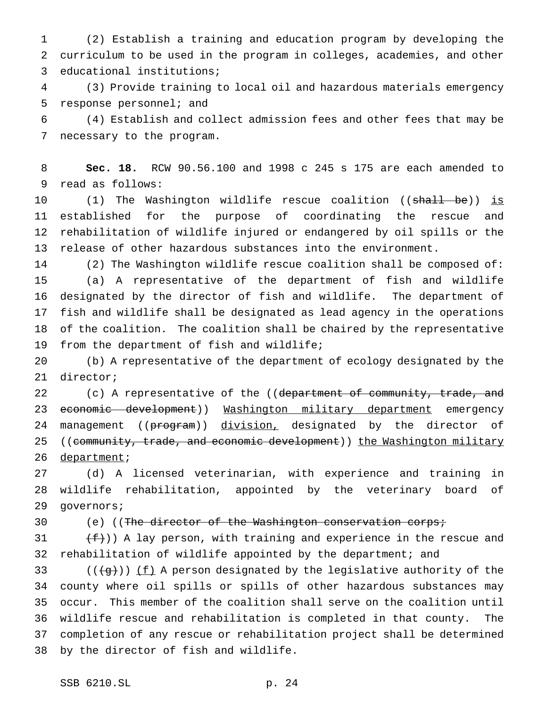(2) Establish a training and education program by developing the curriculum to be used in the program in colleges, academies, and other educational institutions;

 (3) Provide training to local oil and hazardous materials emergency response personnel; and

 (4) Establish and collect admission fees and other fees that may be necessary to the program.

 **Sec. 18.** RCW 90.56.100 and 1998 c 245 s 175 are each amended to read as follows:

10 (1) The Washington wildlife rescue coalition ((shall be)) is established for the purpose of coordinating the rescue and rehabilitation of wildlife injured or endangered by oil spills or the release of other hazardous substances into the environment.

 (2) The Washington wildlife rescue coalition shall be composed of: (a) A representative of the department of fish and wildlife designated by the director of fish and wildlife. The department of fish and wildlife shall be designated as lead agency in the operations of the coalition. The coalition shall be chaired by the representative from the department of fish and wildlife;

 (b) A representative of the department of ecology designated by the director;

22 (c) A representative of the ((department of community, trade, and 23 economic development)) Washington military department emergency 24 management ((program)) division, designated by the director of 25 ((community, trade, and economic development)) the Washington military 26 department;

 (d) A licensed veterinarian, with experience and training in wildlife rehabilitation, appointed by the veterinary board of governors;

30 (e) ((The director of the Washington conservation corps;

 $(f)$ ) A lay person, with training and experience in the rescue and rehabilitation of wildlife appointed by the department; and

33 ( $(\frac{1}{9})$ ) <u>(f)</u> A person designated by the legislative authority of the county where oil spills or spills of other hazardous substances may occur. This member of the coalition shall serve on the coalition until wildlife rescue and rehabilitation is completed in that county. The completion of any rescue or rehabilitation project shall be determined by the director of fish and wildlife.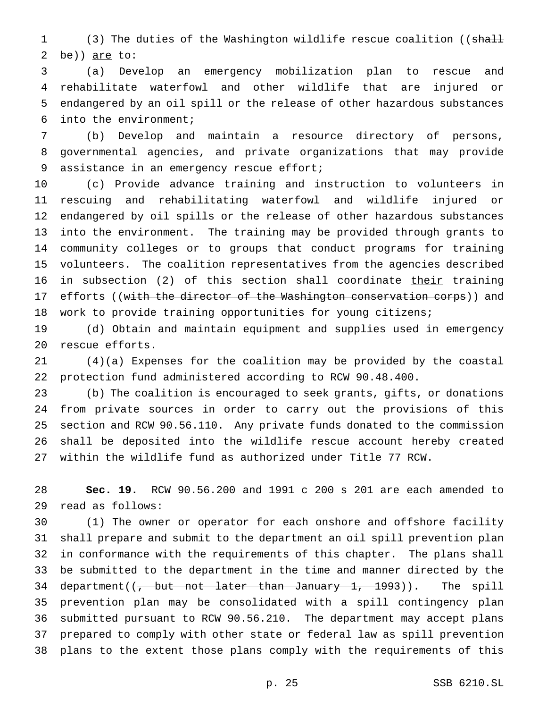1 (3) The duties of the Washington wildlife rescue coalition ((shall be)) are to:

 (a) Develop an emergency mobilization plan to rescue and rehabilitate waterfowl and other wildlife that are injured or endangered by an oil spill or the release of other hazardous substances into the environment;

 (b) Develop and maintain a resource directory of persons, governmental agencies, and private organizations that may provide 9 assistance in an emergency rescue effort;

 (c) Provide advance training and instruction to volunteers in rescuing and rehabilitating waterfowl and wildlife injured or endangered by oil spills or the release of other hazardous substances into the environment. The training may be provided through grants to community colleges or to groups that conduct programs for training volunteers. The coalition representatives from the agencies described in subsection (2) of this section shall coordinate their training 17 efforts ((with the director of the Washington conservation corps)) and work to provide training opportunities for young citizens;

 (d) Obtain and maintain equipment and supplies used in emergency rescue efforts.

 (4)(a) Expenses for the coalition may be provided by the coastal protection fund administered according to RCW 90.48.400.

 (b) The coalition is encouraged to seek grants, gifts, or donations from private sources in order to carry out the provisions of this section and RCW 90.56.110. Any private funds donated to the commission shall be deposited into the wildlife rescue account hereby created within the wildlife fund as authorized under Title 77 RCW.

 **Sec. 19.** RCW 90.56.200 and 1991 c 200 s 201 are each amended to read as follows:

 (1) The owner or operator for each onshore and offshore facility shall prepare and submit to the department an oil spill prevention plan in conformance with the requirements of this chapter. The plans shall be submitted to the department in the time and manner directed by the 34 department((<del>, but not later than January 1, 1993</del>)). The spill prevention plan may be consolidated with a spill contingency plan submitted pursuant to RCW 90.56.210. The department may accept plans prepared to comply with other state or federal law as spill prevention plans to the extent those plans comply with the requirements of this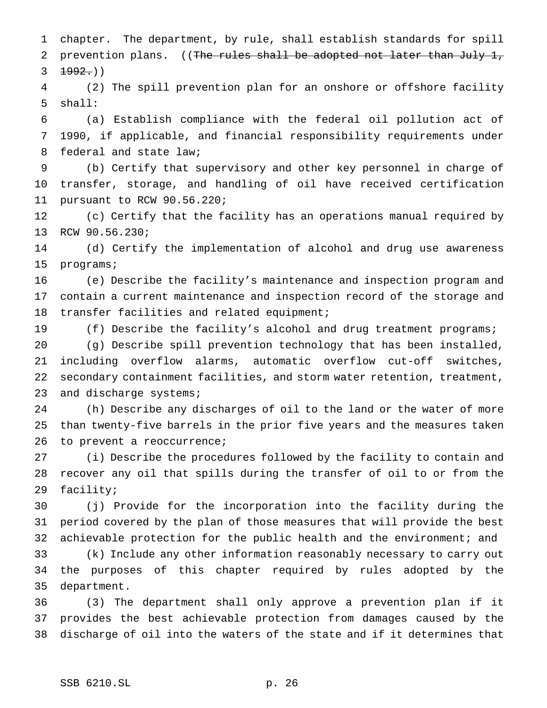chapter. The department, by rule, shall establish standards for spill 2 prevention plans. ((The rules shall be adopted not later than July 1,  $3 \frac{1992}{1}$  (2) The spill prevention plan for an onshore or offshore facility shall: (a) Establish compliance with the federal oil pollution act of 1990, if applicable, and financial responsibility requirements under federal and state law; (b) Certify that supervisory and other key personnel in charge of transfer, storage, and handling of oil have received certification pursuant to RCW 90.56.220; (c) Certify that the facility has an operations manual required by RCW 90.56.230; (d) Certify the implementation of alcohol and drug use awareness programs; (e) Describe the facility's maintenance and inspection program and contain a current maintenance and inspection record of the storage and transfer facilities and related equipment; (f) Describe the facility's alcohol and drug treatment programs; (g) Describe spill prevention technology that has been installed, including overflow alarms, automatic overflow cut-off switches, secondary containment facilities, and storm water retention, treatment, 23 and discharge systems; (h) Describe any discharges of oil to the land or the water of more than twenty-five barrels in the prior five years and the measures taken 26 to prevent a reoccurrence; (i) Describe the procedures followed by the facility to contain and recover any oil that spills during the transfer of oil to or from the facility; (j) Provide for the incorporation into the facility during the period covered by the plan of those measures that will provide the best achievable protection for the public health and the environment; and (k) Include any other information reasonably necessary to carry out the purposes of this chapter required by rules adopted by the department. (3) The department shall only approve a prevention plan if it provides the best achievable protection from damages caused by the discharge of oil into the waters of the state and if it determines that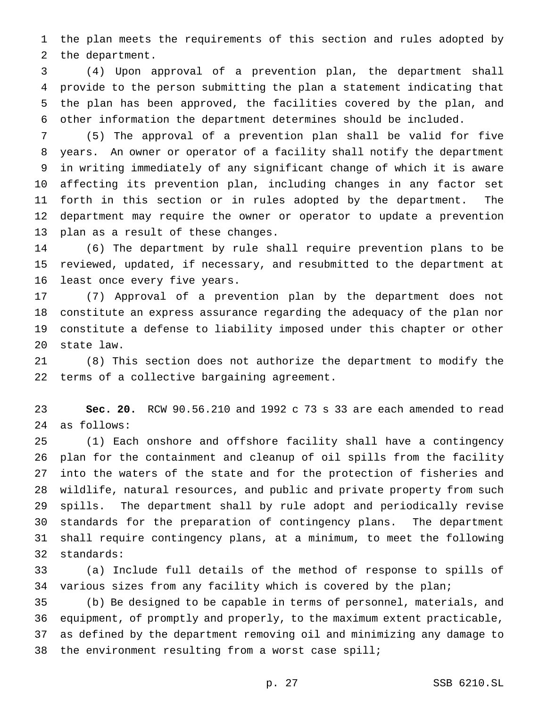the plan meets the requirements of this section and rules adopted by the department.

 (4) Upon approval of a prevention plan, the department shall provide to the person submitting the plan a statement indicating that the plan has been approved, the facilities covered by the plan, and other information the department determines should be included.

 (5) The approval of a prevention plan shall be valid for five years. An owner or operator of a facility shall notify the department in writing immediately of any significant change of which it is aware affecting its prevention plan, including changes in any factor set forth in this section or in rules adopted by the department. The department may require the owner or operator to update a prevention plan as a result of these changes.

 (6) The department by rule shall require prevention plans to be reviewed, updated, if necessary, and resubmitted to the department at least once every five years.

 (7) Approval of a prevention plan by the department does not constitute an express assurance regarding the adequacy of the plan nor constitute a defense to liability imposed under this chapter or other state law.

 (8) This section does not authorize the department to modify the terms of a collective bargaining agreement.

 **Sec. 20.** RCW 90.56.210 and 1992 c 73 s 33 are each amended to read as follows:

 (1) Each onshore and offshore facility shall have a contingency plan for the containment and cleanup of oil spills from the facility into the waters of the state and for the protection of fisheries and wildlife, natural resources, and public and private property from such spills. The department shall by rule adopt and periodically revise standards for the preparation of contingency plans. The department shall require contingency plans, at a minimum, to meet the following standards:

 (a) Include full details of the method of response to spills of various sizes from any facility which is covered by the plan;

 (b) Be designed to be capable in terms of personnel, materials, and equipment, of promptly and properly, to the maximum extent practicable, as defined by the department removing oil and minimizing any damage to the environment resulting from a worst case spill;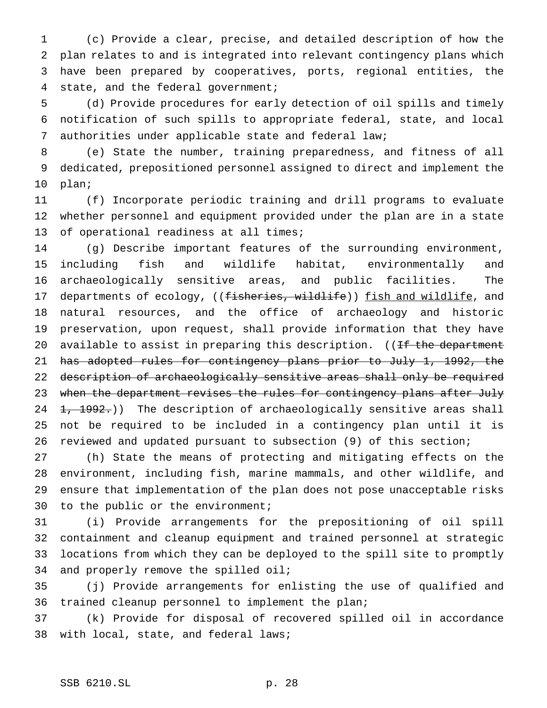(c) Provide a clear, precise, and detailed description of how the plan relates to and is integrated into relevant contingency plans which have been prepared by cooperatives, ports, regional entities, the state, and the federal government;

 (d) Provide procedures for early detection of oil spills and timely notification of such spills to appropriate federal, state, and local authorities under applicable state and federal law;

 (e) State the number, training preparedness, and fitness of all dedicated, prepositioned personnel assigned to direct and implement the plan;

 (f) Incorporate periodic training and drill programs to evaluate whether personnel and equipment provided under the plan are in a state of operational readiness at all times;

 (g) Describe important features of the surrounding environment, including fish and wildlife habitat, environmentally and archaeologically sensitive areas, and public facilities. The 17 departments of ecology, ((fisheries, wildlife)) fish and wildlife, and natural resources, and the office of archaeology and historic preservation, upon request, shall provide information that they have 20 available to assist in preparing this description. ((If the department 21 has adopted rules for contingency plans prior to July 1, 1992, the description of archaeologically sensitive areas shall only be required 23 when the department revises the rules for contingency plans after July 24 1, 1992.)) The description of archaeologically sensitive areas shall not be required to be included in a contingency plan until it is reviewed and updated pursuant to subsection (9) of this section;

 (h) State the means of protecting and mitigating effects on the environment, including fish, marine mammals, and other wildlife, and ensure that implementation of the plan does not pose unacceptable risks to the public or the environment;

 (i) Provide arrangements for the prepositioning of oil spill containment and cleanup equipment and trained personnel at strategic locations from which they can be deployed to the spill site to promptly and properly remove the spilled oil;

 (j) Provide arrangements for enlisting the use of qualified and trained cleanup personnel to implement the plan;

 (k) Provide for disposal of recovered spilled oil in accordance with local, state, and federal laws;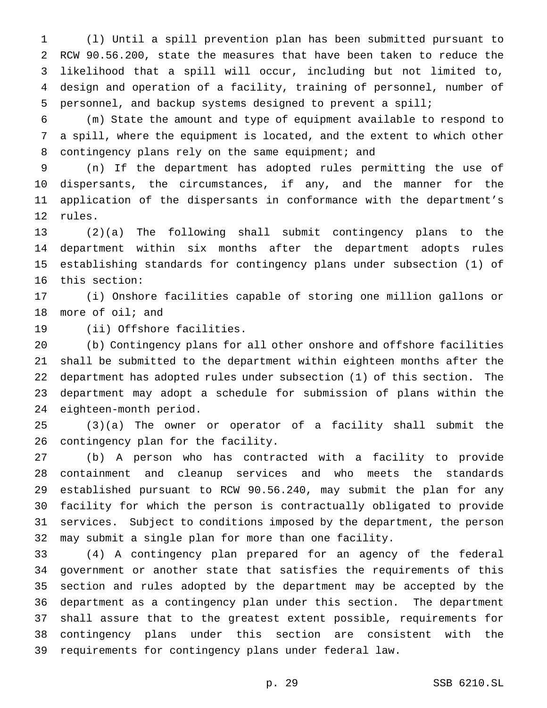(l) Until a spill prevention plan has been submitted pursuant to RCW 90.56.200, state the measures that have been taken to reduce the likelihood that a spill will occur, including but not limited to, design and operation of a facility, training of personnel, number of personnel, and backup systems designed to prevent a spill;

 (m) State the amount and type of equipment available to respond to a spill, where the equipment is located, and the extent to which other 8 contingency plans rely on the same equipment; and

 (n) If the department has adopted rules permitting the use of dispersants, the circumstances, if any, and the manner for the application of the dispersants in conformance with the department's rules.

 (2)(a) The following shall submit contingency plans to the department within six months after the department adopts rules establishing standards for contingency plans under subsection (1) of this section:

 (i) Onshore facilities capable of storing one million gallons or more of oil; and

(ii) Offshore facilities.

 (b) Contingency plans for all other onshore and offshore facilities shall be submitted to the department within eighteen months after the department has adopted rules under subsection (1) of this section. The department may adopt a schedule for submission of plans within the eighteen-month period.

 (3)(a) The owner or operator of a facility shall submit the contingency plan for the facility.

 (b) A person who has contracted with a facility to provide containment and cleanup services and who meets the standards established pursuant to RCW 90.56.240, may submit the plan for any facility for which the person is contractually obligated to provide services. Subject to conditions imposed by the department, the person may submit a single plan for more than one facility.

 (4) A contingency plan prepared for an agency of the federal government or another state that satisfies the requirements of this section and rules adopted by the department may be accepted by the department as a contingency plan under this section. The department shall assure that to the greatest extent possible, requirements for contingency plans under this section are consistent with the requirements for contingency plans under federal law.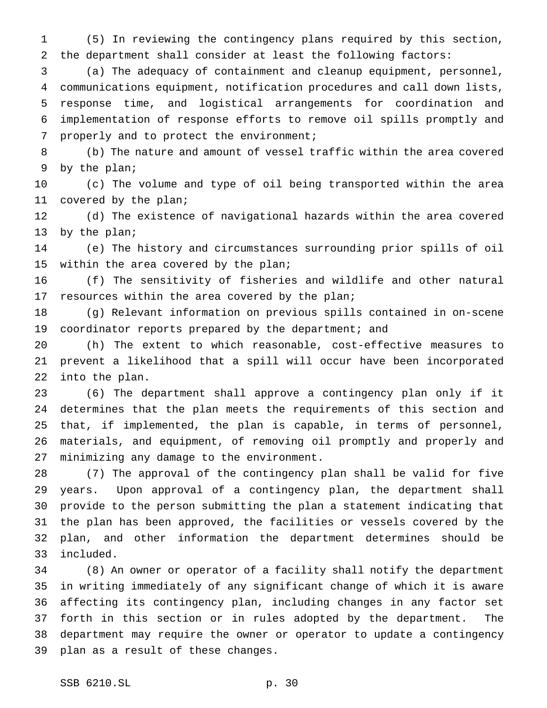(5) In reviewing the contingency plans required by this section, the department shall consider at least the following factors:

 (a) The adequacy of containment and cleanup equipment, personnel, communications equipment, notification procedures and call down lists, response time, and logistical arrangements for coordination and implementation of response efforts to remove oil spills promptly and properly and to protect the environment;

 (b) The nature and amount of vessel traffic within the area covered by the plan;

 (c) The volume and type of oil being transported within the area covered by the plan;

 (d) The existence of navigational hazards within the area covered by the plan;

 (e) The history and circumstances surrounding prior spills of oil within the area covered by the plan;

 (f) The sensitivity of fisheries and wildlife and other natural 17 resources within the area covered by the plan;

 (g) Relevant information on previous spills contained in on-scene 19 coordinator reports prepared by the department; and

 (h) The extent to which reasonable, cost-effective measures to prevent a likelihood that a spill will occur have been incorporated into the plan.

 (6) The department shall approve a contingency plan only if it determines that the plan meets the requirements of this section and that, if implemented, the plan is capable, in terms of personnel, materials, and equipment, of removing oil promptly and properly and minimizing any damage to the environment.

 (7) The approval of the contingency plan shall be valid for five years. Upon approval of a contingency plan, the department shall provide to the person submitting the plan a statement indicating that the plan has been approved, the facilities or vessels covered by the plan, and other information the department determines should be included.

 (8) An owner or operator of a facility shall notify the department in writing immediately of any significant change of which it is aware affecting its contingency plan, including changes in any factor set forth in this section or in rules adopted by the department. The department may require the owner or operator to update a contingency plan as a result of these changes.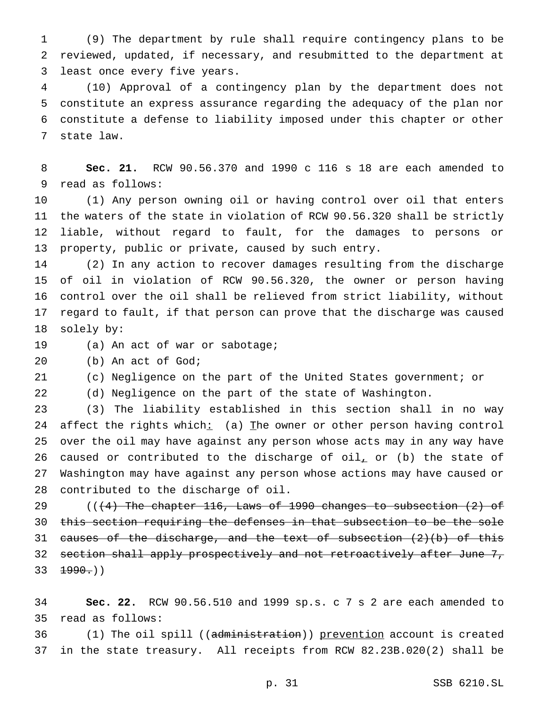(9) The department by rule shall require contingency plans to be reviewed, updated, if necessary, and resubmitted to the department at least once every five years.

 (10) Approval of a contingency plan by the department does not constitute an express assurance regarding the adequacy of the plan nor constitute a defense to liability imposed under this chapter or other state law.

 **Sec. 21.** RCW 90.56.370 and 1990 c 116 s 18 are each amended to read as follows:

 (1) Any person owning oil or having control over oil that enters the waters of the state in violation of RCW 90.56.320 shall be strictly liable, without regard to fault, for the damages to persons or property, public or private, caused by such entry.

 (2) In any action to recover damages resulting from the discharge of oil in violation of RCW 90.56.320, the owner or person having control over the oil shall be relieved from strict liability, without regard to fault, if that person can prove that the discharge was caused solely by:

(a) An act of war or sabotage;

(b) An act of God;

(c) Negligence on the part of the United States government; or

(d) Negligence on the part of the state of Washington.

 (3) The liability established in this section shall in no way 24 affect the rights which: (a) The owner or other person having control over the oil may have against any person whose acts may in any way have 26 caused or contributed to the discharge of  $\text{oil}_+$  or (b) the state of Washington may have against any person whose actions may have caused or contributed to the discharge of oil.

 $((+4)$  The chapter 116, Laws of 1990 changes to subsection  $(2)$  of this section requiring the defenses in that subsection to be the sole 31 causes of the discharge, and the text of subsection  $(2)(b)$  of this 32 section shall apply prospectively and not retroactively after June 7,  $33 \t+990.$ 

 **Sec. 22.** RCW 90.56.510 and 1999 sp.s. c 7 s 2 are each amended to read as follows:

36 (1) The oil spill ((administration)) prevention account is created in the state treasury. All receipts from RCW 82.23B.020(2) shall be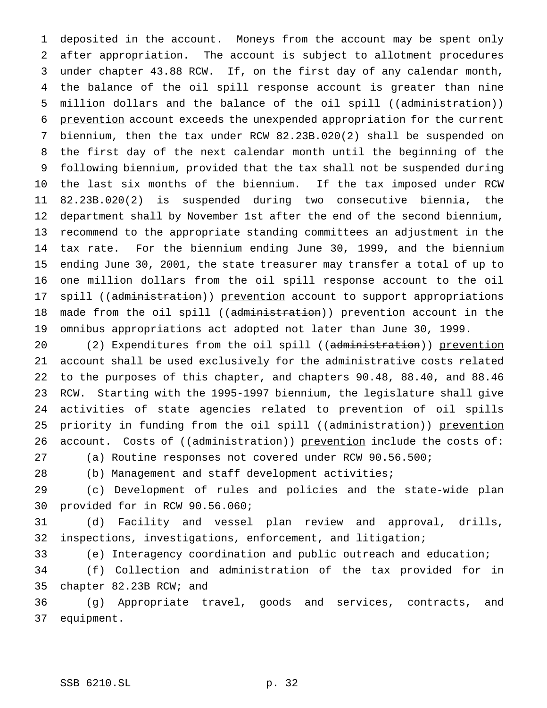deposited in the account. Moneys from the account may be spent only after appropriation. The account is subject to allotment procedures under chapter 43.88 RCW. If, on the first day of any calendar month, the balance of the oil spill response account is greater than nine 5 million dollars and the balance of the oil spill ((administration)) prevention account exceeds the unexpended appropriation for the current biennium, then the tax under RCW 82.23B.020(2) shall be suspended on the first day of the next calendar month until the beginning of the following biennium, provided that the tax shall not be suspended during the last six months of the biennium. If the tax imposed under RCW 82.23B.020(2) is suspended during two consecutive biennia, the department shall by November 1st after the end of the second biennium, recommend to the appropriate standing committees an adjustment in the tax rate. For the biennium ending June 30, 1999, and the biennium ending June 30, 2001, the state treasurer may transfer a total of up to one million dollars from the oil spill response account to the oil 17 spill ((administration)) prevention account to support appropriations 18 made from the oil spill ((administration)) prevention account in the omnibus appropriations act adopted not later than June 30, 1999.

20 (2) Expenditures from the oil spill ((administration)) prevention account shall be used exclusively for the administrative costs related to the purposes of this chapter, and chapters 90.48, 88.40, and 88.46 RCW. Starting with the 1995-1997 biennium, the legislature shall give activities of state agencies related to prevention of oil spills 25 priority in funding from the oil spill ((administration)) prevention 26 account. Costs of ((administration)) prevention include the costs of:

(a) Routine responses not covered under RCW 90.56.500;

(b) Management and staff development activities;

 (c) Development of rules and policies and the state-wide plan provided for in RCW 90.56.060;

 (d) Facility and vessel plan review and approval, drills, inspections, investigations, enforcement, and litigation;

(e) Interagency coordination and public outreach and education;

 (f) Collection and administration of the tax provided for in chapter 82.23B RCW; and

 (g) Appropriate travel, goods and services, contracts, and equipment.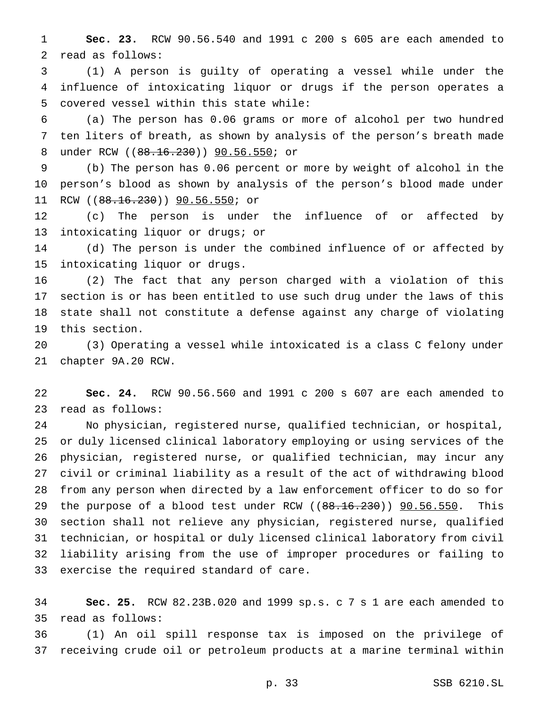**Sec. 23.** RCW 90.56.540 and 1991 c 200 s 605 are each amended to read as follows:

 (1) A person is guilty of operating a vessel while under the influence of intoxicating liquor or drugs if the person operates a covered vessel within this state while:

 (a) The person has 0.06 grams or more of alcohol per two hundred ten liters of breath, as shown by analysis of the person's breath made 8 under RCW ((88.16.230)) 90.56.550; or

 (b) The person has 0.06 percent or more by weight of alcohol in the person's blood as shown by analysis of the person's blood made under 11 RCW ((88.16.230)) **90.56.550;** or

 (c) The person is under the influence of or affected by intoxicating liquor or drugs; or

 (d) The person is under the combined influence of or affected by intoxicating liquor or drugs.

 (2) The fact that any person charged with a violation of this section is or has been entitled to use such drug under the laws of this state shall not constitute a defense against any charge of violating this section.

 (3) Operating a vessel while intoxicated is a class C felony under chapter 9A.20 RCW.

 **Sec. 24.** RCW 90.56.560 and 1991 c 200 s 607 are each amended to read as follows:

 No physician, registered nurse, qualified technician, or hospital, or duly licensed clinical laboratory employing or using services of the physician, registered nurse, or qualified technician, may incur any civil or criminal liability as a result of the act of withdrawing blood from any person when directed by a law enforcement officer to do so for 29 the purpose of a blood test under RCW ((88.16.230)) 90.56.550. This section shall not relieve any physician, registered nurse, qualified technician, or hospital or duly licensed clinical laboratory from civil liability arising from the use of improper procedures or failing to exercise the required standard of care.

 **Sec. 25.** RCW 82.23B.020 and 1999 sp.s. c 7 s 1 are each amended to read as follows:

 (1) An oil spill response tax is imposed on the privilege of receiving crude oil or petroleum products at a marine terminal within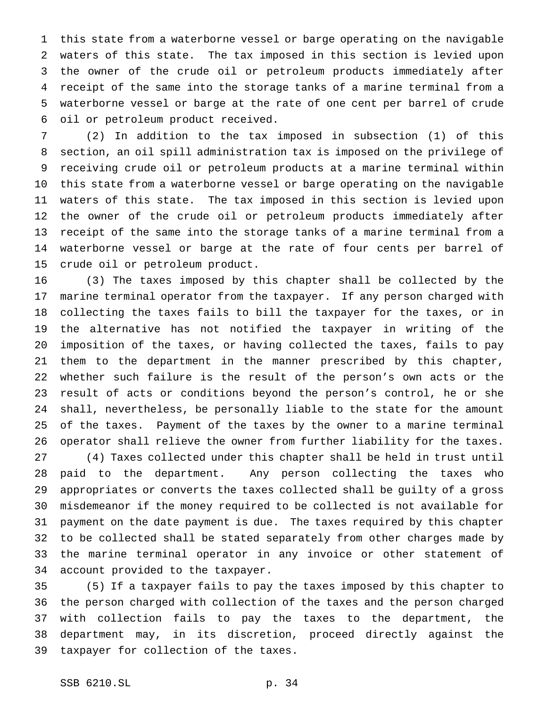this state from a waterborne vessel or barge operating on the navigable waters of this state. The tax imposed in this section is levied upon the owner of the crude oil or petroleum products immediately after receipt of the same into the storage tanks of a marine terminal from a waterborne vessel or barge at the rate of one cent per barrel of crude oil or petroleum product received.

 (2) In addition to the tax imposed in subsection (1) of this section, an oil spill administration tax is imposed on the privilege of receiving crude oil or petroleum products at a marine terminal within this state from a waterborne vessel or barge operating on the navigable waters of this state. The tax imposed in this section is levied upon the owner of the crude oil or petroleum products immediately after receipt of the same into the storage tanks of a marine terminal from a waterborne vessel or barge at the rate of four cents per barrel of crude oil or petroleum product.

 (3) The taxes imposed by this chapter shall be collected by the marine terminal operator from the taxpayer. If any person charged with collecting the taxes fails to bill the taxpayer for the taxes, or in the alternative has not notified the taxpayer in writing of the imposition of the taxes, or having collected the taxes, fails to pay them to the department in the manner prescribed by this chapter, whether such failure is the result of the person's own acts or the result of acts or conditions beyond the person's control, he or she shall, nevertheless, be personally liable to the state for the amount of the taxes. Payment of the taxes by the owner to a marine terminal operator shall relieve the owner from further liability for the taxes. (4) Taxes collected under this chapter shall be held in trust until paid to the department. Any person collecting the taxes who appropriates or converts the taxes collected shall be guilty of a gross misdemeanor if the money required to be collected is not available for payment on the date payment is due. The taxes required by this chapter to be collected shall be stated separately from other charges made by the marine terminal operator in any invoice or other statement of account provided to the taxpayer.

 (5) If a taxpayer fails to pay the taxes imposed by this chapter to the person charged with collection of the taxes and the person charged with collection fails to pay the taxes to the department, the department may, in its discretion, proceed directly against the taxpayer for collection of the taxes.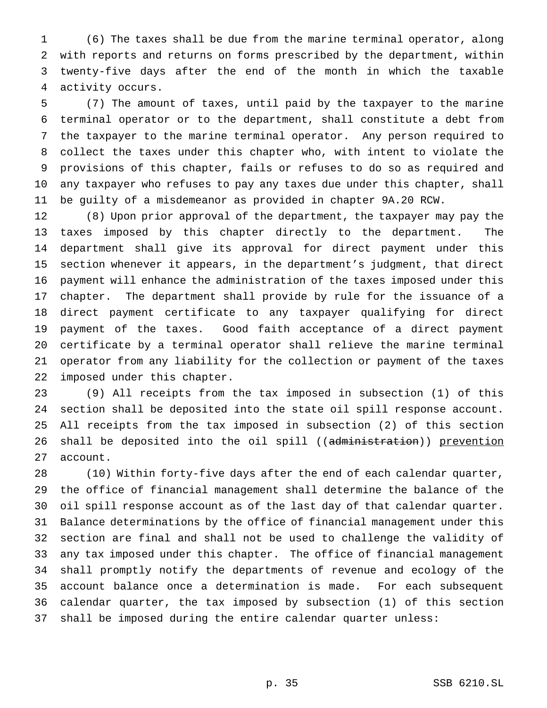(6) The taxes shall be due from the marine terminal operator, along with reports and returns on forms prescribed by the department, within twenty-five days after the end of the month in which the taxable activity occurs.

 (7) The amount of taxes, until paid by the taxpayer to the marine terminal operator or to the department, shall constitute a debt from the taxpayer to the marine terminal operator. Any person required to collect the taxes under this chapter who, with intent to violate the provisions of this chapter, fails or refuses to do so as required and any taxpayer who refuses to pay any taxes due under this chapter, shall be guilty of a misdemeanor as provided in chapter 9A.20 RCW.

 (8) Upon prior approval of the department, the taxpayer may pay the taxes imposed by this chapter directly to the department. The department shall give its approval for direct payment under this section whenever it appears, in the department's judgment, that direct payment will enhance the administration of the taxes imposed under this chapter. The department shall provide by rule for the issuance of a direct payment certificate to any taxpayer qualifying for direct payment of the taxes. Good faith acceptance of a direct payment certificate by a terminal operator shall relieve the marine terminal operator from any liability for the collection or payment of the taxes imposed under this chapter.

 (9) All receipts from the tax imposed in subsection (1) of this section shall be deposited into the state oil spill response account. All receipts from the tax imposed in subsection (2) of this section 26 shall be deposited into the oil spill ((administration)) prevention account.

 (10) Within forty-five days after the end of each calendar quarter, the office of financial management shall determine the balance of the oil spill response account as of the last day of that calendar quarter. Balance determinations by the office of financial management under this section are final and shall not be used to challenge the validity of any tax imposed under this chapter. The office of financial management shall promptly notify the departments of revenue and ecology of the account balance once a determination is made. For each subsequent calendar quarter, the tax imposed by subsection (1) of this section shall be imposed during the entire calendar quarter unless: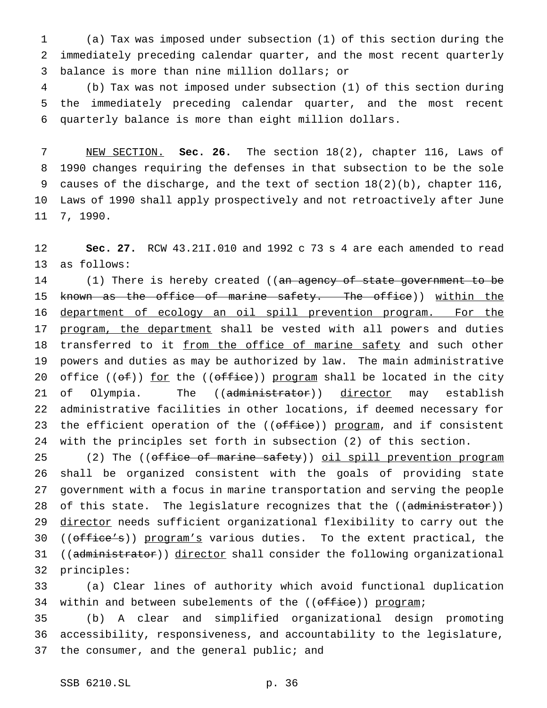(a) Tax was imposed under subsection (1) of this section during the immediately preceding calendar quarter, and the most recent quarterly balance is more than nine million dollars; or

 (b) Tax was not imposed under subsection (1) of this section during the immediately preceding calendar quarter, and the most recent quarterly balance is more than eight million dollars.

 NEW SECTION. **Sec. 26.** The section 18(2), chapter 116, Laws of 1990 changes requiring the defenses in that subsection to be the sole causes of the discharge, and the text of section 18(2)(b), chapter 116, Laws of 1990 shall apply prospectively and not retroactively after June 7, 1990.

 **Sec. 27.** RCW 43.21I.010 and 1992 c 73 s 4 are each amended to read as follows:

14 (1) There is hereby created ((an agency of state government to be 15 known as the office of marine safety. The office)) within the department of ecology an oil spill prevention program. For the 17 program, the department shall be vested with all powers and duties 18 transferred to it from the office of marine safety and such other powers and duties as may be authorized by law. The main administrative 20 office (( $\Theta$ f)) for the (( $\Theta$ ffice)) program shall be located in the city 21 of Olympia. The ((administrator)) director may establish administrative facilities in other locations, if deemed necessary for 23 the efficient operation of the ((office)) program, and if consistent with the principles set forth in subsection (2) of this section.

25 (2) The ((office of marine safety)) oil spill prevention program shall be organized consistent with the goals of providing state government with a focus in marine transportation and serving the people 28 of this state. The legislature recognizes that the ((administrator)) 29 director needs sufficient organizational flexibility to carry out the 30 ((office's)) program's various duties. To the extent practical, the 31 ((administrator)) director shall consider the following organizational principles:

 (a) Clear lines of authority which avoid functional duplication 34 within and between subelements of the ((office)) program;

 (b) A clear and simplified organizational design promoting accessibility, responsiveness, and accountability to the legislature, 37 the consumer, and the general public; and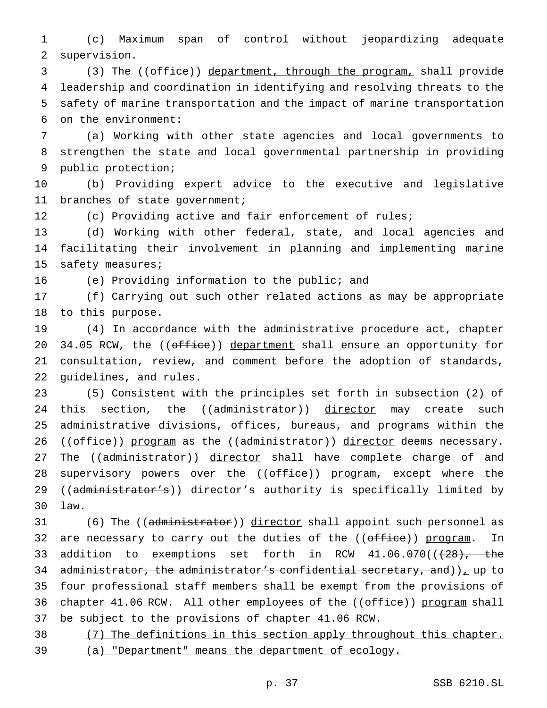(c) Maximum span of control without jeopardizing adequate supervision.

 (3) The ((office)) department, through the program, shall provide leadership and coordination in identifying and resolving threats to the safety of marine transportation and the impact of marine transportation on the environment:

 (a) Working with other state agencies and local governments to strengthen the state and local governmental partnership in providing public protection;

 (b) Providing expert advice to the executive and legislative branches of state government;

(c) Providing active and fair enforcement of rules;

 (d) Working with other federal, state, and local agencies and facilitating their involvement in planning and implementing marine 15 safety measures;

(e) Providing information to the public; and

 (f) Carrying out such other related actions as may be appropriate to this purpose.

 (4) In accordance with the administrative procedure act, chapter 20 34.05 RCW, the ((office)) department shall ensure an opportunity for consultation, review, and comment before the adoption of standards, guidelines, and rules.

 (5) Consistent with the principles set forth in subsection (2) of 24 this section, the ((administrator)) director may create such administrative divisions, offices, bureaus, and programs within the 26 ((office)) program as the ((administrator)) director deems necessary. 27 The ((administrator)) director shall have complete charge of and 28 supervisory powers over the ((office)) program, except where the 29 ((administrator's)) director's authority is specifically limited by law.

31 (6) The ((administrator)) director shall appoint such personnel as 32 are necessary to carry out the duties of the ((office)) program. In 33 addition to exemptions set forth in RCW  $41.06.070$  ( $(28)$ , the 34 administrator, the administrator's confidential secretary, and)), up to four professional staff members shall be exempt from the provisions of 36 chapter 41.06 RCW. All other employees of the ((office)) program shall be subject to the provisions of chapter 41.06 RCW.

38 (7) The definitions in this section apply throughout this chapter. (a) "Department" means the department of ecology.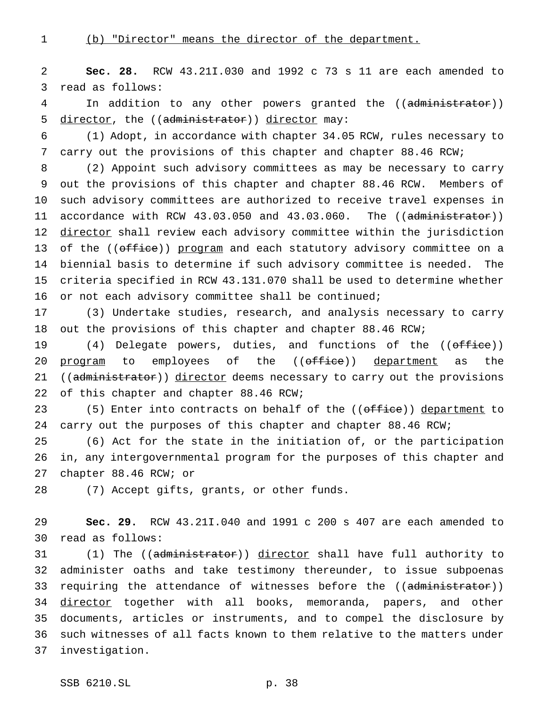(b) "Director" means the director of the department.

 **Sec. 28.** RCW 43.21I.030 and 1992 c 73 s 11 are each amended to read as follows:

4 In addition to any other powers granted the ((administrator)) 5 director, the ((administrator)) director may:

 (1) Adopt, in accordance with chapter 34.05 RCW, rules necessary to carry out the provisions of this chapter and chapter 88.46 RCW;

 (2) Appoint such advisory committees as may be necessary to carry out the provisions of this chapter and chapter 88.46 RCW. Members of such advisory committees are authorized to receive travel expenses in 11 accordance with RCW 43.03.050 and 43.03.060. The ((administrator)) 12 director shall review each advisory committee within the jurisdiction 13 of the ((<del>office</del>)) program and each statutory advisory committee on a biennial basis to determine if such advisory committee is needed. The criteria specified in RCW 43.131.070 shall be used to determine whether or not each advisory committee shall be continued;

 (3) Undertake studies, research, and analysis necessary to carry out the provisions of this chapter and chapter 88.46 RCW;

19 (4) Delegate powers, duties, and functions of the ((office)) 20 program to employees of the ((office)) department as the 21 ((administrator)) director deems necessary to carry out the provisions 22 of this chapter and chapter 88.46 RCW;

23 (5) Enter into contracts on behalf of the ((office)) department to carry out the purposes of this chapter and chapter 88.46 RCW;

 (6) Act for the state in the initiation of, or the participation in, any intergovernmental program for the purposes of this chapter and chapter 88.46 RCW; or

(7) Accept gifts, grants, or other funds.

 **Sec. 29.** RCW 43.21I.040 and 1991 c 200 s 407 are each amended to read as follows:

31 (1) The ((administrator)) director shall have full authority to administer oaths and take testimony thereunder, to issue subpoenas 33 requiring the attendance of witnesses before the ((administrator)) 34 director together with all books, memoranda, papers, and other documents, articles or instruments, and to compel the disclosure by such witnesses of all facts known to them relative to the matters under investigation.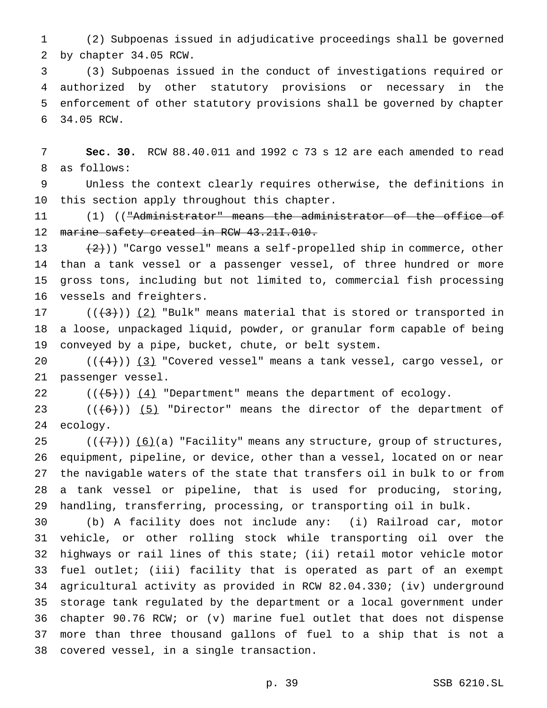(2) Subpoenas issued in adjudicative proceedings shall be governed by chapter 34.05 RCW.

 (3) Subpoenas issued in the conduct of investigations required or authorized by other statutory provisions or necessary in the enforcement of other statutory provisions shall be governed by chapter 34.05 RCW.

 **Sec. 30.** RCW 88.40.011 and 1992 c 73 s 12 are each amended to read as follows:

 Unless the context clearly requires otherwise, the definitions in this section apply throughout this chapter.

 (1) (("Administrator" means the administrator of the office of 12 marine safety created in RCW 43.211.010.

 $(2)$ )) "Cargo vessel" means a self-propelled ship in commerce, other than a tank vessel or a passenger vessel, of three hundred or more gross tons, including but not limited to, commercial fish processing vessels and freighters.

17 ( $((+3))$   $(2)$  "Bulk" means material that is stored or transported in a loose, unpackaged liquid, powder, or granular form capable of being conveyed by a pipe, bucket, chute, or belt system.

 $((+4))$   $(3)$  "Covered vessel" means a tank vessel, cargo vessel, or passenger vessel.

22  $((+5))$   $(4)$  "Department" means the department of ecology.

23  $((+6))$   $(5)$  "Director" means the director of the department of ecology.

 $((+7))$   $(6)$  (a) "Facility" means any structure, group of structures, equipment, pipeline, or device, other than a vessel, located on or near the navigable waters of the state that transfers oil in bulk to or from a tank vessel or pipeline, that is used for producing, storing, handling, transferring, processing, or transporting oil in bulk.

 (b) A facility does not include any: (i) Railroad car, motor vehicle, or other rolling stock while transporting oil over the highways or rail lines of this state; (ii) retail motor vehicle motor fuel outlet; (iii) facility that is operated as part of an exempt agricultural activity as provided in RCW 82.04.330; (iv) underground storage tank regulated by the department or a local government under chapter 90.76 RCW; or (v) marine fuel outlet that does not dispense more than three thousand gallons of fuel to a ship that is not a covered vessel, in a single transaction.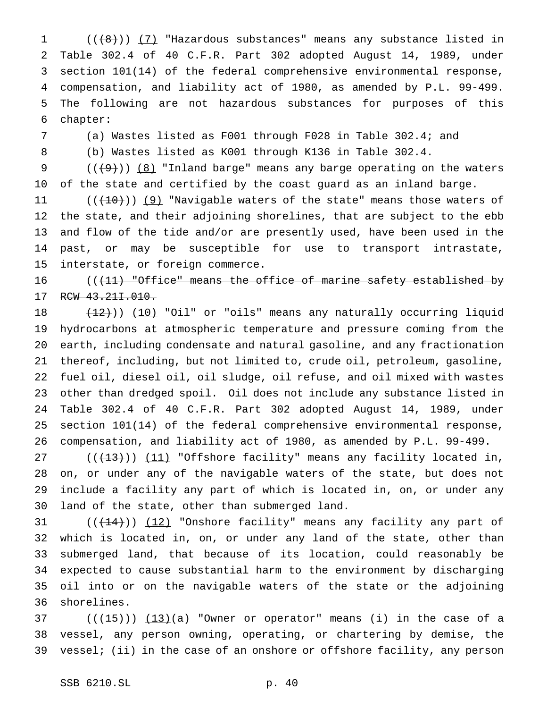(( $\left(\frac{1}{8}\right)$ ) (7) "Hazardous substances" means any substance listed in Table 302.4 of 40 C.F.R. Part 302 adopted August 14, 1989, under section 101(14) of the federal comprehensive environmental response, compensation, and liability act of 1980, as amended by P.L. 99-499. The following are not hazardous substances for purposes of this chapter:

(a) Wastes listed as F001 through F028 in Table 302.4; and

(b) Wastes listed as K001 through K136 in Table 302.4.

 $((+9))$  (8) "Inland barge" means any barge operating on the waters of the state and certified by the coast guard as an inland barge.

 $((+10))$  (9) "Navigable waters of the state" means those waters of the state, and their adjoining shorelines, that are subject to the ebb and flow of the tide and/or are presently used, have been used in the past, or may be susceptible for use to transport intrastate, interstate, or foreign commerce.

16 (( $\left(11\right)$  "Office" means the office of marine safety established by 17 RCW 43.211.010.

18 (12))) (10) "Oil" or "oils" means any naturally occurring liquid hydrocarbons at atmospheric temperature and pressure coming from the earth, including condensate and natural gasoline, and any fractionation thereof, including, but not limited to, crude oil, petroleum, gasoline, fuel oil, diesel oil, oil sludge, oil refuse, and oil mixed with wastes other than dredged spoil. Oil does not include any substance listed in Table 302.4 of 40 C.F.R. Part 302 adopted August 14, 1989, under section 101(14) of the federal comprehensive environmental response, compensation, and liability act of 1980, as amended by P.L. 99-499.

27 (((13))) (11) "Offshore facility" means any facility located in, on, or under any of the navigable waters of the state, but does not include a facility any part of which is located in, on, or under any land of the state, other than submerged land.

 $((+14))$   $(12)$  "Onshore facility" means any facility any part of which is located in, on, or under any land of the state, other than submerged land, that because of its location, could reasonably be expected to cause substantial harm to the environment by discharging oil into or on the navigable waters of the state or the adjoining shorelines.

 ( $(\overline{+15})$ )  $(13)(a)$  "Owner or operator" means (i) in the case of a vessel, any person owning, operating, or chartering by demise, the vessel; (ii) in the case of an onshore or offshore facility, any person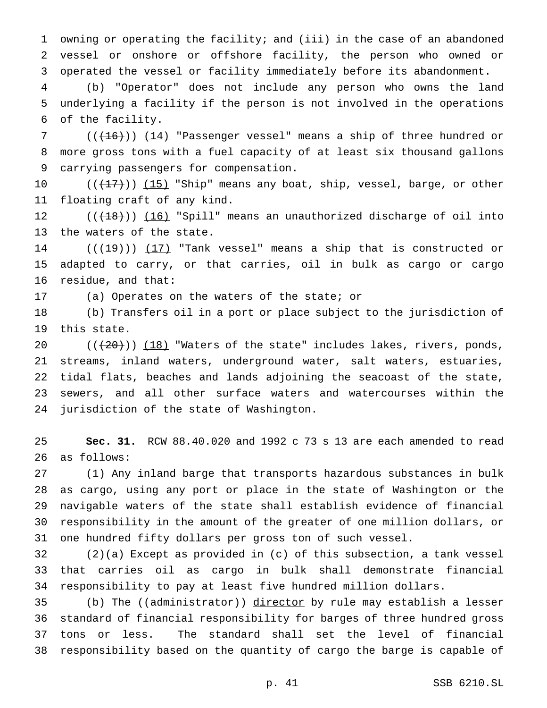owning or operating the facility; and (iii) in the case of an abandoned vessel or onshore or offshore facility, the person who owned or operated the vessel or facility immediately before its abandonment.

 (b) "Operator" does not include any person who owns the land underlying a facility if the person is not involved in the operations of the facility.

7 (( $(16)$ )) (14) "Passenger vessel" means a ship of three hundred or more gross tons with a fuel capacity of at least six thousand gallons carrying passengers for compensation.

10 ((<del>(17)</del>)) <u>(15)</u> "Ship" means any boat, ship, vessel, barge, or other floating craft of any kind.

 $((+18))$  (16) "Spill" means an unauthorized discharge of oil into the waters of the state.

14  $((+19))$   $(17)$  "Tank vessel" means a ship that is constructed or adapted to carry, or that carries, oil in bulk as cargo or cargo residue, and that:

(a) Operates on the waters of the state; or

 (b) Transfers oil in a port or place subject to the jurisdiction of this state.

 $((+20))$   $(18)$  "Waters of the state" includes lakes, rivers, ponds, streams, inland waters, underground water, salt waters, estuaries, tidal flats, beaches and lands adjoining the seacoast of the state, sewers, and all other surface waters and watercourses within the jurisdiction of the state of Washington.

 **Sec. 31.** RCW 88.40.020 and 1992 c 73 s 13 are each amended to read as follows:

 (1) Any inland barge that transports hazardous substances in bulk as cargo, using any port or place in the state of Washington or the navigable waters of the state shall establish evidence of financial responsibility in the amount of the greater of one million dollars, or one hundred fifty dollars per gross ton of such vessel.

 (2)(a) Except as provided in (c) of this subsection, a tank vessel that carries oil as cargo in bulk shall demonstrate financial responsibility to pay at least five hundred million dollars.

35 (b) The ((administrator)) director by rule may establish a lesser standard of financial responsibility for barges of three hundred gross tons or less. The standard shall set the level of financial responsibility based on the quantity of cargo the barge is capable of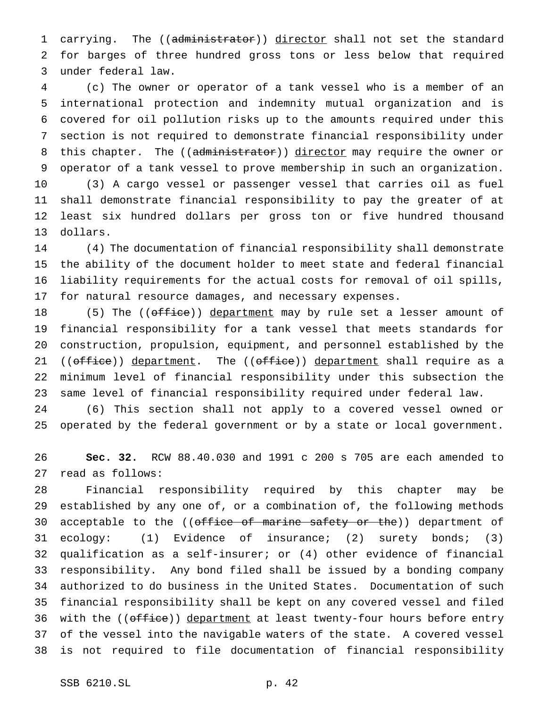1 carrying. The ((administrator)) director shall not set the standard for barges of three hundred gross tons or less below that required under federal law.

 (c) The owner or operator of a tank vessel who is a member of an international protection and indemnity mutual organization and is covered for oil pollution risks up to the amounts required under this section is not required to demonstrate financial responsibility under 8 this chapter. The ((administrator)) director may require the owner or operator of a tank vessel to prove membership in such an organization. (3) A cargo vessel or passenger vessel that carries oil as fuel shall demonstrate financial responsibility to pay the greater of at least six hundred dollars per gross ton or five hundred thousand dollars.

 (4) The documentation of financial responsibility shall demonstrate the ability of the document holder to meet state and federal financial liability requirements for the actual costs for removal of oil spills, for natural resource damages, and necessary expenses.

18 (5) The ((office)) department may by rule set a lesser amount of financial responsibility for a tank vessel that meets standards for construction, propulsion, equipment, and personnel established by the 21 ((office)) department. The ((office)) department shall require as a minimum level of financial responsibility under this subsection the same level of financial responsibility required under federal law.

 (6) This section shall not apply to a covered vessel owned or operated by the federal government or by a state or local government.

 **Sec. 32.** RCW 88.40.030 and 1991 c 200 s 705 are each amended to read as follows:

 Financial responsibility required by this chapter may be established by any one of, or a combination of, the following methods 30 acceptable to the ((office of marine safety or the)) department of ecology: (1) Evidence of insurance; (2) surety bonds; (3) qualification as a self-insurer; or (4) other evidence of financial responsibility. Any bond filed shall be issued by a bonding company authorized to do business in the United States. Documentation of such financial responsibility shall be kept on any covered vessel and filed 36 with the ((office)) department at least twenty-four hours before entry of the vessel into the navigable waters of the state. A covered vessel is not required to file documentation of financial responsibility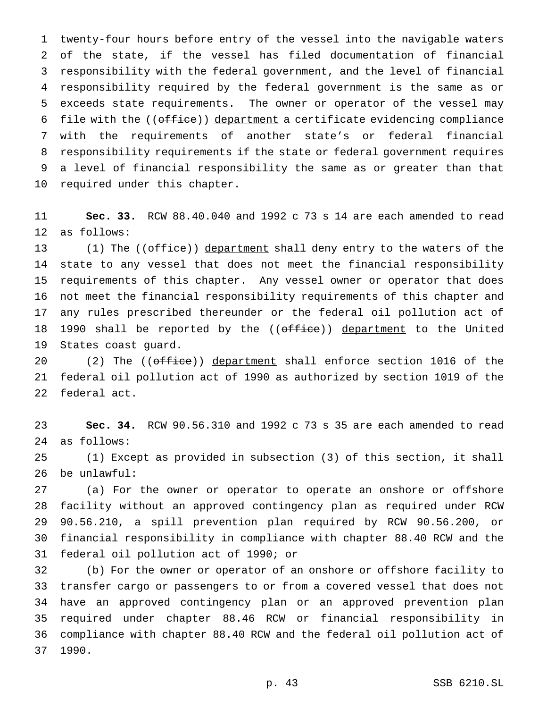twenty-four hours before entry of the vessel into the navigable waters of the state, if the vessel has filed documentation of financial responsibility with the federal government, and the level of financial responsibility required by the federal government is the same as or exceeds state requirements. The owner or operator of the vessel may 6 file with the ((office)) department a certificate evidencing compliance with the requirements of another state's or federal financial responsibility requirements if the state or federal government requires a level of financial responsibility the same as or greater than that required under this chapter.

 **Sec. 33.** RCW 88.40.040 and 1992 c 73 s 14 are each amended to read as follows:

13 (1) The ((office)) department shall deny entry to the waters of the state to any vessel that does not meet the financial responsibility requirements of this chapter. Any vessel owner or operator that does not meet the financial responsibility requirements of this chapter and any rules prescribed thereunder or the federal oil pollution act of 18 1990 shall be reported by the ((office)) department to the United States coast guard.

20 (2) The ((office)) department shall enforce section 1016 of the federal oil pollution act of 1990 as authorized by section 1019 of the federal act.

 **Sec. 34.** RCW 90.56.310 and 1992 c 73 s 35 are each amended to read as follows:

 (1) Except as provided in subsection (3) of this section, it shall be unlawful:

 (a) For the owner or operator to operate an onshore or offshore facility without an approved contingency plan as required under RCW 90.56.210, a spill prevention plan required by RCW 90.56.200, or financial responsibility in compliance with chapter 88.40 RCW and the federal oil pollution act of 1990; or

 (b) For the owner or operator of an onshore or offshore facility to transfer cargo or passengers to or from a covered vessel that does not have an approved contingency plan or an approved prevention plan required under chapter 88.46 RCW or financial responsibility in compliance with chapter 88.40 RCW and the federal oil pollution act of 1990.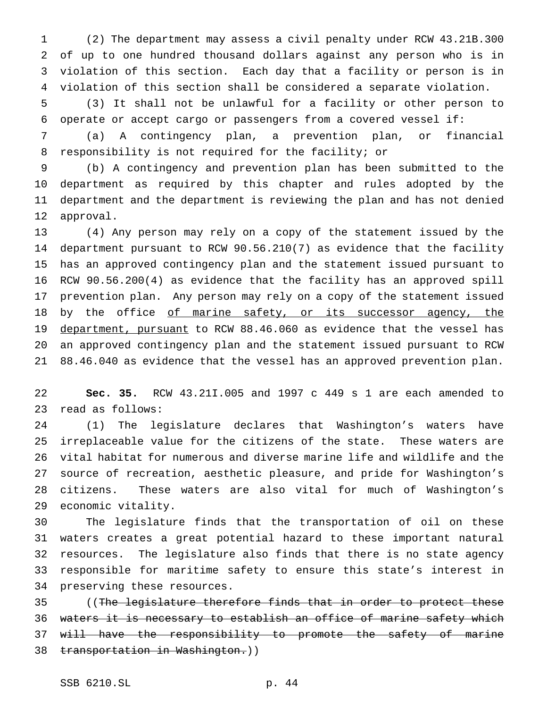(2) The department may assess a civil penalty under RCW 43.21B.300 of up to one hundred thousand dollars against any person who is in violation of this section. Each day that a facility or person is in violation of this section shall be considered a separate violation.

 (3) It shall not be unlawful for a facility or other person to operate or accept cargo or passengers from a covered vessel if:

 (a) A contingency plan, a prevention plan, or financial responsibility is not required for the facility; or

 (b) A contingency and prevention plan has been submitted to the department as required by this chapter and rules adopted by the department and the department is reviewing the plan and has not denied approval.

 (4) Any person may rely on a copy of the statement issued by the department pursuant to RCW 90.56.210(7) as evidence that the facility has an approved contingency plan and the statement issued pursuant to RCW 90.56.200(4) as evidence that the facility has an approved spill prevention plan. Any person may rely on a copy of the statement issued 18 by the office of marine safety, or its successor agency, the 19 department, pursuant to RCW 88.46.060 as evidence that the vessel has an approved contingency plan and the statement issued pursuant to RCW 88.46.040 as evidence that the vessel has an approved prevention plan.

 **Sec. 35.** RCW 43.21I.005 and 1997 c 449 s 1 are each amended to read as follows:

 (1) The legislature declares that Washington's waters have irreplaceable value for the citizens of the state. These waters are vital habitat for numerous and diverse marine life and wildlife and the source of recreation, aesthetic pleasure, and pride for Washington's citizens. These waters are also vital for much of Washington's economic vitality.

 The legislature finds that the transportation of oil on these waters creates a great potential hazard to these important natural resources. The legislature also finds that there is no state agency responsible for maritime safety to ensure this state's interest in preserving these resources.

35 ((The legislature therefore finds that in order to protect these waters it is necessary to establish an office of marine safety which 37 will have the responsibility to promote the safety of marine 38 transportation in Washington.))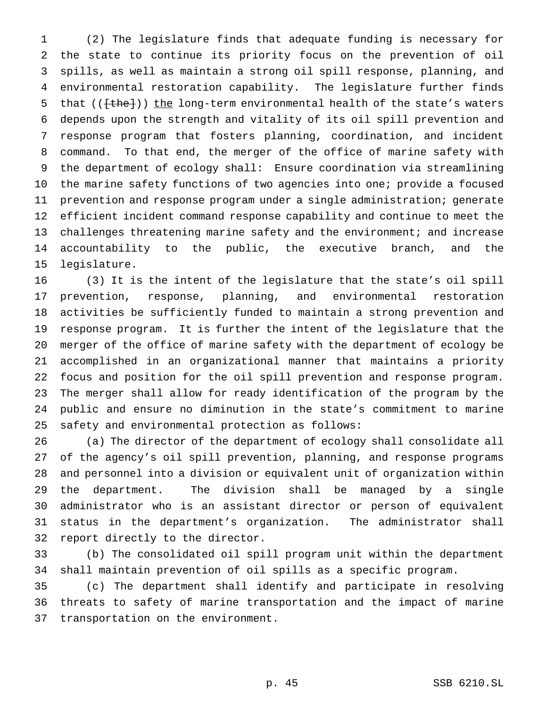(2) The legislature finds that adequate funding is necessary for the state to continue its priority focus on the prevention of oil spills, as well as maintain a strong oil spill response, planning, and environmental restoration capability. The legislature further finds 5 that  $(\text{[the]})$  the long-term environmental health of the state's waters depends upon the strength and vitality of its oil spill prevention and response program that fosters planning, coordination, and incident command. To that end, the merger of the office of marine safety with the department of ecology shall: Ensure coordination via streamlining 10 the marine safety functions of two agencies into one; provide a focused prevention and response program under a single administration; generate efficient incident command response capability and continue to meet the 13 challenges threatening marine safety and the environment; and increase accountability to the public, the executive branch, and the legislature.

 (3) It is the intent of the legislature that the state's oil spill prevention, response, planning, and environmental restoration activities be sufficiently funded to maintain a strong prevention and response program. It is further the intent of the legislature that the merger of the office of marine safety with the department of ecology be accomplished in an organizational manner that maintains a priority focus and position for the oil spill prevention and response program. The merger shall allow for ready identification of the program by the public and ensure no diminution in the state's commitment to marine safety and environmental protection as follows:

 (a) The director of the department of ecology shall consolidate all of the agency's oil spill prevention, planning, and response programs and personnel into a division or equivalent unit of organization within the department. The division shall be managed by a single administrator who is an assistant director or person of equivalent status in the department's organization. The administrator shall report directly to the director.

 (b) The consolidated oil spill program unit within the department shall maintain prevention of oil spills as a specific program.

 (c) The department shall identify and participate in resolving threats to safety of marine transportation and the impact of marine transportation on the environment.